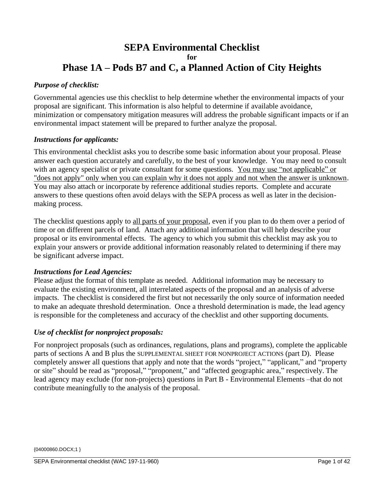# **SEPA Environmental Checklist for Phase 1A – Pods B7 and C, a Planned Action of City Heights**

# *Purpose of checklist:*

Governmental agencies use this checklist to help determine whether the environmental impacts of your proposal are significant. This information is also helpful to determine if available avoidance, minimization or compensatory mitigation measures will address the probable significant impacts or if an environmental impact statement will be prepared to further analyze the proposal.

### *Instructions for applicants:*

This environmental checklist asks you to describe some basic information about your proposal. Please answer each question accurately and carefully, to the best of your knowledge. You may need to consult with an agency specialist or private consultant for some questions. You may use "not applicable" or "does not apply" only when you can explain why it does not apply and not when the answer is unknown. You may also attach or incorporate by reference additional studies reports. Complete and accurate answers to these questions often avoid delays with the SEPA process as well as later in the decisionmaking process.

The checklist questions apply to all parts of your proposal, even if you plan to do them over a period of time or on different parcels of land. Attach any additional information that will help describe your proposal or its environmental effects. The agency to which you submit this checklist may ask you to explain your answers or provide additional information reasonably related to determining if there may be significant adverse impact.

### *Instructions for Lead Agencies:*

Please adjust the format of this template as needed. Additional information may be necessary to evaluate the existing environment, all interrelated aspects of the proposal and an analysis of adverse impacts. The checklist is considered the first but not necessarily the only source of information needed to make an adequate threshold determination. Once a threshold determination is made, the lead agency is responsible for the completeness and accuracy of the checklist and other supporting documents.

### *Use of checklist for nonproject proposals:*

For nonproject proposals (such as ordinances, regulations, plans and programs), complete the applicable parts of sections A and B plus the SUPPLEMENTAL SHEET FOR NONPROJECT ACTIONS (part D). Please completely answer all questions that apply and note that the words "project," "applicant," and "property or site" should be read as "proposal," "proponent," and "affected geographic area," respectively. The lead agency may exclude (for non-projects) questions in Part B - Environmental Elements –that do not contribute meaningfully to the analysis of the proposal.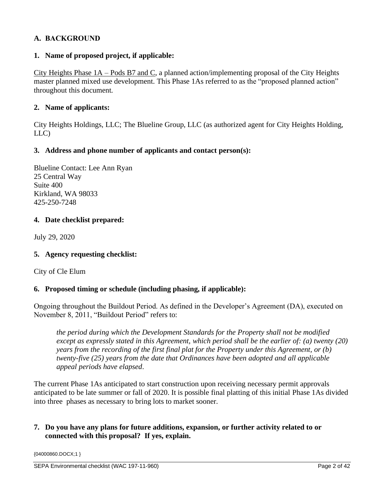# **A. BACKGROUND**

### **1. Name of proposed project, if applicable:**

City Heights Phase 1A – Pods B7 and C, a planned action/implementing proposal of the City Heights master planned mixed use development. This Phase 1As referred to as the "proposed planned action" throughout this document.

### **2. Name of applicants:**

City Heights Holdings, LLC; The Blueline Group, LLC (as authorized agent for City Heights Holding, LLC)

### **3. Address and phone number of applicants and contact person(s):**

Blueline Contact: Lee Ann Ryan 25 Central Way Suite 400 Kirkland, WA 98033 425-250-7248

## **4. Date checklist prepared:**

July 29, 2020

# **5. Agency requesting checklist:**

City of Cle Elum

# **6. Proposed timing or schedule (including phasing, if applicable):**

Ongoing throughout the Buildout Period. As defined in the Developer's Agreement (DA), executed on November 8, 2011, "Buildout Period" refers to:

*the period during which the Development Standards for the Property shall not be modified except as expressly stated in this Agreement, which period shall be the earlier of: (a) twenty (20) years from the recording of the first final plat for the Property under this Agreement, or (b) twenty-five (25) years from the date that Ordinances have been adopted and all applicable appeal periods have elapsed*.

The current Phase 1As anticipated to start construction upon receiving necessary permit approvals anticipated to be late summer or fall of 2020. It is possible final platting of this initial Phase 1As divided into three phases as necessary to bring lots to market sooner.

## **7. Do you have any plans for future additions, expansion, or further activity related to or connected with this proposal? If yes, explain.**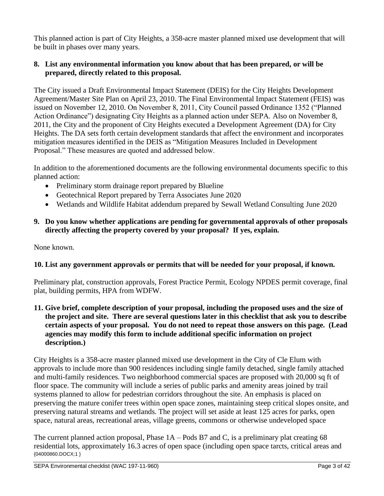This planned action is part of City Heights, a 358-acre master planned mixed use development that will be built in phases over many years.

# **8. List any environmental information you know about that has been prepared, or will be prepared, directly related to this proposal.**

The City issued a Draft Environmental Impact Statement (DEIS) for the City Heights Development Agreement/Master Site Plan on April 23, 2010. The Final Environmental Impact Statement (FEIS) was issued on November 12, 2010. On November 8, 2011, City Council passed Ordinance 1352 ("Planned Action Ordinance") designating City Heights as a planned action under SEPA. Also on November 8, 2011, the City and the proponent of City Heights executed a Development Agreement (DA) for City Heights. The DA sets forth certain development standards that affect the environment and incorporates mitigation measures identified in the DEIS as "Mitigation Measures Included in Development Proposal." These measures are quoted and addressed below.

In addition to the aforementioned documents are the following environmental documents specific to this planned action:

- Preliminary storm drainage report prepared by Blueline
- Geotechnical Report prepared by Terra Associates June 2020
- Wetlands and Wildlife Habitat addendum prepared by Sewall Wetland Consulting June 2020
- **9. Do you know whether applications are pending for governmental approvals of other proposals directly affecting the property covered by your proposal? If yes, explain.**

None known.

# **10. List any government approvals or permits that will be needed for your proposal, if known.**

Preliminary plat, construction approvals, Forest Practice Permit, Ecology NPDES permit coverage, final plat, building permits, HPA from WDFW.

**11. Give brief, complete description of your proposal, including the proposed uses and the size of the project and site. There are several questions later in this checklist that ask you to describe certain aspects of your proposal. You do not need to repeat those answers on this page. (Lead agencies may modify this form to include additional specific information on project description.)** 

City Heights is a 358-acre master planned mixed use development in the City of Cle Elum with approvals to include more than 900 residences including single family detached, single family attached and multi-family residences. Two neighborhood commercial spaces are proposed with 20,000 sq ft of floor space. The community will include a series of public parks and amenity areas joined by trail systems planned to allow for pedestrian corridors throughout the site. An emphasis is placed on preserving the mature conifer trees within open space zones, maintaining steep critical slopes onsite, and preserving natural streams and wetlands. The project will set aside at least 125 acres for parks, open space, natural areas, recreational areas, village greens, commons or otherwise undeveloped space

{04000860.DOCX;1 } The current planned action proposal, Phase 1A – Pods B7 and C, is a preliminary plat creating 68 residential lots, approximately 16.3 acres of open space (including open space tarcts, critical areas and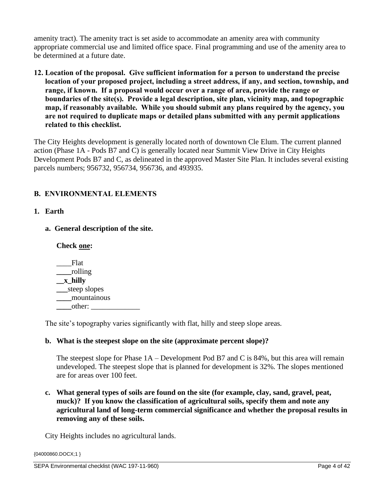amenity tract). The amenity tract is set aside to accommodate an amenity area with community appropriate commercial use and limited office space. Final programming and use of the amenity area to be determined at a future date.

**12. Location of the proposal. Give sufficient information for a person to understand the precise location of your proposed project, including a street address, if any, and section, township, and range, if known. If a proposal would occur over a range of area, provide the range or boundaries of the site(s). Provide a legal description, site plan, vicinity map, and topographic map, if reasonably available. While you should submit any plans required by the agency, you are not required to duplicate maps or detailed plans submitted with any permit applications related to this checklist.** 

The City Heights development is generally located north of downtown Cle Elum. The current planned action (Phase 1A - Pods B7 and C) is generally located near Summit View Drive in City Heights Development Pods B7 and C, as delineated in the approved Master Site Plan. It includes several existing parcels numbers; 956732, 956734, 956736, and 493935.

# **B. ENVIRONMENTAL ELEMENTS**

# **1. Earth**

**a. General description of the site.**

### **Check one:**

\_\_\_\_Flat **\_\_\_\_**rolling **\_\_x\_hilly \_\_\_**steep slopes **\_\_\_\_**mountainous **\_\_\_\_**other: \_\_\_\_\_\_\_\_\_\_\_\_\_

The site's topography varies significantly with flat, hilly and steep slope areas.

### **b. What is the steepest slope on the site (approximate percent slope)?**

The steepest slope for Phase 1A – Development Pod B7 and C is 84%, but this area will remain undeveloped. The steepest slope that is planned for development is 32%. The slopes mentioned are for areas over 100 feet.

**c. What general types of soils are found on the site (for example, clay, sand, gravel, peat, muck)? If you know the classification of agricultural soils, specify them and note any agricultural land of long-term commercial significance and whether the proposal results in removing any of these soils.** 

City Heights includes no agricultural lands.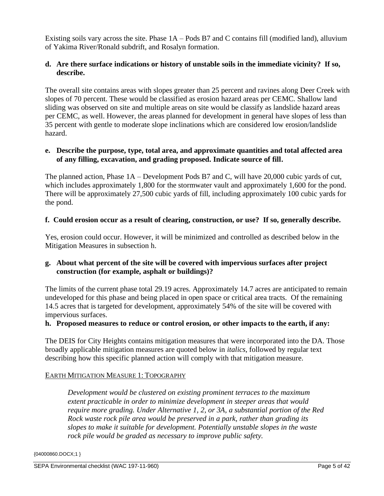Existing soils vary across the site. Phase 1A – Pods B7 and C contains fill (modified land), alluvium of Yakima River/Ronald subdrift, and Rosalyn formation.

# **d. Are there surface indications or history of unstable soils in the immediate vicinity? If so, describe.**

The overall site contains areas with slopes greater than 25 percent and ravines along Deer Creek with slopes of 70 percent. These would be classified as erosion hazard areas per CEMC. Shallow land sliding was observed on site and multiple areas on site would be classify as landslide hazard areas per CEMC, as well. However, the areas planned for development in general have slopes of less than 35 percent with gentle to moderate slope inclinations which are considered low erosion/landslide hazard.

## **e. Describe the purpose, type, total area, and approximate quantities and total affected area of any filling, excavation, and grading proposed. Indicate source of fill.**

The planned action, Phase 1A – Development Pods B7 and C, will have 20,000 cubic yards of cut, which includes approximately 1,800 for the stormwater vault and approximately 1,600 for the pond. There will be approximately 27,500 cubic yards of fill, including approximately 100 cubic yards for the pond.

## **f. Could erosion occur as a result of clearing, construction, or use? If so, generally describe.**

Yes, erosion could occur. However, it will be minimized and controlled as described below in the Mitigation Measures in subsection h.

# **g. About what percent of the site will be covered with impervious surfaces after project construction (for example, asphalt or buildings)?**

The limits of the current phase total 29.19 acres. Approximately 14.7 acres are anticipated to remain undeveloped for this phase and being placed in open space or critical area tracts. Of the remaining 14.5 acres that is targeted for development, approximately 54% of the site will be covered with impervious surfaces.

# **h. Proposed measures to reduce or control erosion, or other impacts to the earth, if any:**

The DEIS for City Heights contains mitigation measures that were incorporated into the DA. Those broadly applicable mitigation measures are quoted below in *italics*, followed by regular text describing how this specific planned action will comply with that mitigation measure.

# EARTH MITIGATION MEASURE 1: TOPOGRAPHY

*Development would be clustered on existing prominent terraces to the maximum extent practicable in order to minimize development in steeper areas that would require more grading. Under Alternative 1, 2, or 3A, a substantial portion of the Red Rock waste rock pile area would be preserved in a park, rather than grading its slopes to make it suitable for development. Potentially unstable slopes in the waste rock pile would be graded as necessary to improve public safety.*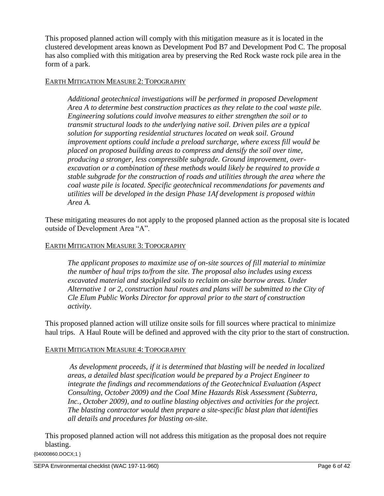This proposed planned action will comply with this mitigation measure as it is located in the clustered development areas known as Development Pod B7 and Development Pod C. The proposal has also complied with this mitigation area by preserving the Red Rock waste rock pile area in the form of a park.

## EARTH MITIGATION MEASURE 2: TOPOGRAPHY

*Additional geotechnical investigations will be performed in proposed Development Area A to determine best construction practices as they relate to the coal waste pile. Engineering solutions could involve measures to either strengthen the soil or to transmit structural loads to the underlying native soil. Driven piles are a typical solution for supporting residential structures located on weak soil. Ground improvement options could include a preload surcharge, where excess fill would be placed on proposed building areas to compress and densify the soil over time, producing a stronger, less compressible subgrade. Ground improvement, overexcavation or a combination of these methods would likely be required to provide a stable subgrade for the construction of roads and utilities through the area where the coal waste pile is located. Specific geotechnical recommendations for pavements and utilities will be developed in the design Phase 1Af development is proposed within Area A.*

These mitigating measures do not apply to the proposed planned action as the proposal site is located outside of Development Area "A".

# EARTH MITIGATION MEASURE 3: TOPOGRAPHY

*The applicant proposes to maximize use of on-site sources of fill material to minimize the number of haul trips to/from the site. The proposal also includes using excess excavated material and stockpiled soils to reclaim on-site borrow areas. Under Alternative 1 or 2, construction haul routes and plans will be submitted to the City of Cle Elum Public Works Director for approval prior to the start of construction activity.*

This proposed planned action will utilize onsite soils for fill sources where practical to minimize haul trips. A Haul Route will be defined and approved with the city prior to the start of construction.

### EARTH MITIGATION MEASURE 4: TOPOGRAPHY

*As development proceeds, if it is determined that blasting will be needed in localized areas, a detailed blast specification would be prepared by a Project Engineer to integrate the findings and recommendations of the Geotechnical Evaluation (Aspect Consulting, October 2009) and the Coal Mine Hazards Risk Assessment (Subterra, Inc., October 2009), and to outline blasting objectives and activities for the project. The blasting contractor would then prepare a site-specific blast plan that identifies all details and procedures for blasting on-site.*

{04000860.DOCX;1 } This proposed planned action will not address this mitigation as the proposal does not require blasting.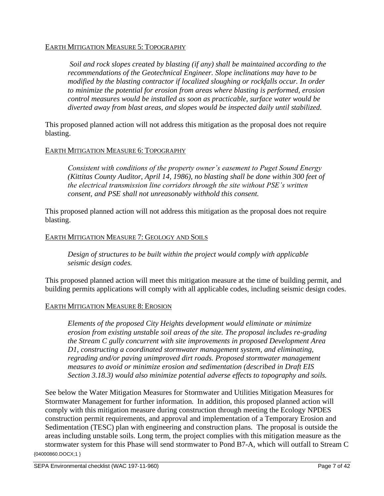### EARTH MITIGATION MEASURE 5: TOPOGRAPHY

*Soil and rock slopes created by blasting (if any) shall be maintained according to the recommendations of the Geotechnical Engineer. Slope inclinations may have to be modified by the blasting contractor if localized sloughing or rockfalls occur. In order to minimize the potential for erosion from areas where blasting is performed, erosion control measures would be installed as soon as practicable, surface water would be diverted away from blast areas, and slopes would be inspected daily until stabilized.*

This proposed planned action will not address this mitigation as the proposal does not require blasting.

## EARTH MITIGATION MEASURE 6: TOPOGRAPHY

*Consistent with conditions of the property owner's easement to Puget Sound Energy (Kittitas County Auditor, April 14, 1986), no blasting shall be done within 300 feet of the electrical transmission line corridors through the site without PSE's written consent, and PSE shall not unreasonably withhold this consent.*

This proposed planned action will not address this mitigation as the proposal does not require blasting.

## EARTH MITIGATION MEASURE 7: GEOLOGY AND SOILS

*Design of structures to be built within the project would comply with applicable seismic design codes.*

This proposed planned action will meet this mitigation measure at the time of building permit, and building permits applications will comply with all applicable codes, including seismic design codes.

### EARTH MITIGATION MEASURE 8: EROSION

*Elements of the proposed City Heights development would eliminate or minimize erosion from existing unstable soil areas of the site. The proposal includes re-grading the Stream C gully concurrent with site improvements in proposed Development Area D1, constructing a coordinated stormwater management system, and eliminating, regrading and/or paving unimproved dirt roads. Proposed stormwater management measures to avoid or minimize erosion and sedimentation (described in Draft EIS Section 3.18.3) would also minimize potential adverse effects to topography and soils.*

{04000860.DOCX;1 } See below the Water Mitigation Measures for Stormwater and Utilities Mitigation Measures for Stormwater Management for further information. In addition, this proposed planned action will comply with this mitigation measure during construction through meeting the Ecology NPDES construction permit requirements, and approval and implementation of a Temporary Erosion and Sedimentation (TESC) plan with engineering and construction plans. The proposal is outside the areas including unstable soils. Long term, the project complies with this mitigation measure as the stormwater system for this Phase will send stormwater to Pond B7-A, which will outfall to Stream C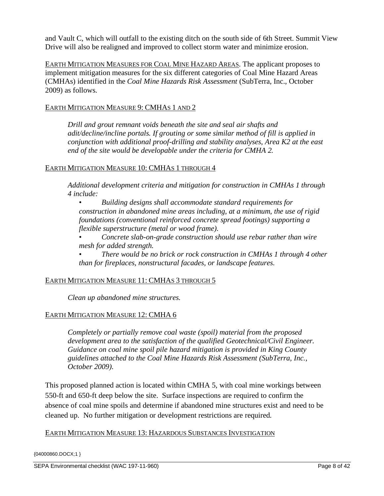and Vault C, which will outfall to the existing ditch on the south side of 6th Street. Summit View Drive will also be realigned and improved to collect storm water and minimize erosion.

EARTH MITIGATION MEASURES FOR COAL MINE HAZARD AREAS. The applicant proposes to implement mitigation measures for the six different categories of Coal Mine Hazard Areas (CMHAs) identified in the *Coal Mine Hazards Risk Assessment* (SubTerra, Inc., October 2009) as follows.

### EARTH MITIGATION MEASURE 9: CMHAS 1 AND 2

*Drill and grout remnant voids beneath the site and seal air shafts and adit/decline/incline portals. If grouting or some similar method of fill is applied in conjunction with additional proof-drilling and stability analyses, Area K2 at the east end of the site would be developable under the criteria for CMHA 2.*

## EARTH MITIGATION MEASURE 10: CMHAS 1 THROUGH 4

*Additional development criteria and mitigation for construction in CMHAs 1 through 4 include:*

• *Building designs shall accommodate standard requirements for construction in abandoned mine areas including, at a minimum, the use of rigid foundations (conventional reinforced concrete spread footings) supporting a flexible superstructure (metal or wood frame).* 

• *Concrete slab-on-grade construction should use rebar rather than wire mesh for added strength.* 

• *There would be no brick or rock construction in CMHAs 1 through 4 other than for fireplaces, nonstructural facades, or landscape features.*

### EARTH MITIGATION MEASURE 11: CMHAS 3 THROUGH 5

*Clean up abandoned mine structures.*

# EARTH MITIGATION MEASURE 12: CMHA 6

*Completely or partially remove coal waste (spoil) material from the proposed development area to the satisfaction of the qualified Geotechnical/Civil Engineer. Guidance on coal mine spoil pile hazard mitigation is provided in King County guidelines attached to the Coal Mine Hazards Risk Assessment (SubTerra, Inc., October 2009).*

This proposed planned action is located within CMHA 5, with coal mine workings between 550-ft and 650-ft deep below the site. Surface inspections are required to confirm the absence of coal mine spoils and determine if abandoned mine structures exist and need to be cleaned up. No further mitigation or development restrictions are required.

### EARTH MITIGATION MEASURE 13: HAZARDOUS SUBSTANCES INVESTIGATION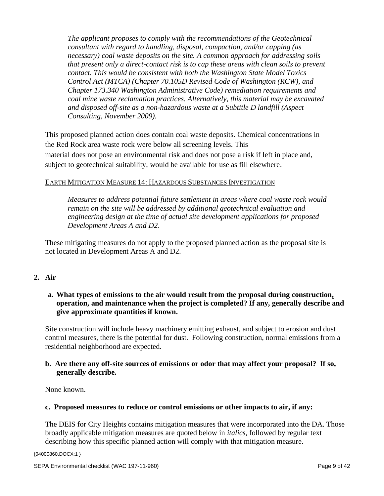*The applicant proposes to comply with the recommendations of the Geotechnical consultant with regard to handling, disposal, compaction, and/or capping (as necessary) coal waste deposits on the site. A common approach for addressing soils that present only a direct-contact risk is to cap these areas with clean soils to prevent contact. This would be consistent with both the Washington State Model Toxics Control Act (MTCA) (Chapter 70.105D Revised Code of Washington (RCW), and Chapter 173.340 Washington Administrative Code) remediation requirements and coal mine waste reclamation practices. Alternatively, this material may be excavated and disposed off-site as a non-hazardous waste at a Subtitle D landfill (Aspect Consulting, November 2009).*

This proposed planned action does contain coal waste deposits. Chemical concentrations in the Red Rock area waste rock were below all screening levels. This material does not pose an environmental risk and does not pose a risk if left in place and, subject to geotechnical suitability, would be available for use as fill elsewhere.

# EARTH MITIGATION MEASURE 14: HAZARDOUS SUBSTANCES INVESTIGATION

*Measures to address potential future settlement in areas where coal waste rock would remain on the site will be addressed by additional geotechnical evaluation and engineering design at the time of actual site development applications for proposed Development Areas A and D2.*

These mitigating measures do not apply to the proposed planned action as the proposal site is not located in Development Areas A and D2.

# **2. Air**

# **a. What types of emissions to the air would result from the proposal during construction, operation, and maintenance when the project is completed? If any, generally describe and give approximate quantities if known.**

Site construction will include heavy machinery emitting exhaust, and subject to erosion and dust control measures, there is the potential for dust. Following construction, normal emissions from a residential neighborhood are expected.

## **b. Are there any off-site sources of emissions or odor that may affect your proposal? If so, generally describe.**

None known.

### **c. Proposed measures to reduce or control emissions or other impacts to air, if any:**

The DEIS for City Heights contains mitigation measures that were incorporated into the DA. Those broadly applicable mitigation measures are quoted below in *italics*, followed by regular text describing how this specific planned action will comply with that mitigation measure.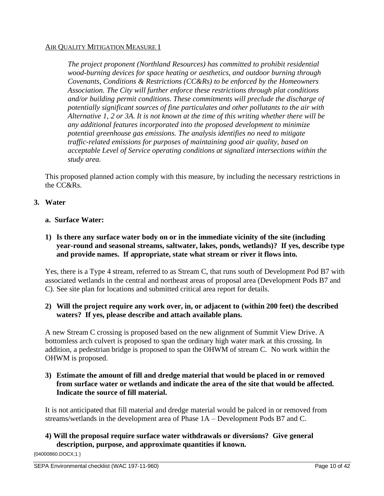# AIR QUALITY MITIGATION MEASURE 1

*The project proponent (Northland Resources) has committed to prohibit residential wood-burning devices for space heating or aesthetics, and outdoor burning through Covenants, Conditions & Restrictions (CC&Rs) to be enforced by the Homeowners Association. The City will further enforce these restrictions through plat conditions and/or building permit conditions. These commitments will preclude the discharge of potentially significant sources of fine particulates and other pollutants to the air with Alternative 1, 2 or 3A. It is not known at the time of this writing whether there will be any additional features incorporated into the proposed development to minimize potential greenhouse gas emissions. The analysis identifies no need to mitigate traffic-related emissions for purposes of maintaining good air quality, based on acceptable Level of Service operating conditions at signalized intersections within the study area.*

This proposed planned action comply with this measure, by including the necessary restrictions in the CC&Rs.

# **3. Water**

### **a. Surface Water:**

**1) Is there any surface water body on or in the immediate vicinity of the site (including year-round and seasonal streams, saltwater, lakes, ponds, wetlands)? If yes, describe type and provide names. If appropriate, state what stream or river it flows into.** 

Yes, there is a Type 4 stream, referred to as Stream C, that runs south of Development Pod B7 with associated wetlands in the central and northeast areas of proposal area (Development Pods B7 and C). See site plan for locations and submitted critical area report for details.

# **2) Will the project require any work over, in, or adjacent to (within 200 feet) the described waters? If yes, please describe and attach available plans.**

A new Stream C crossing is proposed based on the new alignment of Summit View Drive. A bottomless arch culvert is proposed to span the ordinary high water mark at this crossing. In addition, a pedestrian bridge is proposed to span the OHWM of stream C. No work within the OHWM is proposed.

# **3) Estimate the amount of fill and dredge material that would be placed in or removed from surface water or wetlands and indicate the area of the site that would be affected. Indicate the source of fill material.**

It is not anticipated that fill material and dredge material would be palced in or removed from streams/wetlands in the development area of Phase 1A – Development Pods B7 and C.

# **4) Will the proposal require surface water withdrawals or diversions? Give general description, purpose, and approximate quantities if known.**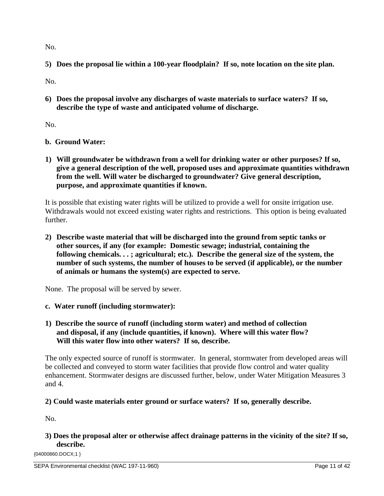No.

**5) Does the proposal lie within a 100-year floodplain? If so, note location on the site plan.** 

No.

**6) Does the proposal involve any discharges of waste materials to surface waters? If so, describe the type of waste and anticipated volume of discharge.** 

No.

**b. Ground Water:**

**1) Will groundwater be withdrawn from a well for drinking water or other purposes? If so, give a general description of the well, proposed uses and approximate quantities withdrawn from the well. Will water be discharged to groundwater? Give general description, purpose, and approximate quantities if known.**

It is possible that existing water rights will be utilized to provide a well for onsite irrigation use. Withdrawals would not exceed existing water rights and restrictions. This option is being evaluated further.

**2) Describe waste material that will be discharged into the ground from septic tanks or other sources, if any (for example: Domestic sewage; industrial, containing the following chemicals. . . ; agricultural; etc.). Describe the general size of the system, the number of such systems, the number of houses to be served (if applicable), or the number of animals or humans the system(s) are expected to serve.**

None. The proposal will be served by sewer.

- **c. Water runoff (including stormwater):**
- **1) Describe the source of runoff (including storm water) and method of collection and disposal, if any (include quantities, if known). Where will this water flow? Will this water flow into other waters? If so, describe.**

The only expected source of runoff is stormwater. In general, stormwater from developed areas will be collected and conveyed to storm water facilities that provide flow control and water quality enhancement. Stormwater designs are discussed further, below, under Water Mitigation Measures 3 and 4.

# **2) Could waste materials enter ground or surface waters? If so, generally describe.**

No.

# **3) Does the proposal alter or otherwise affect drainage patterns in the vicinity of the site? If so, describe.**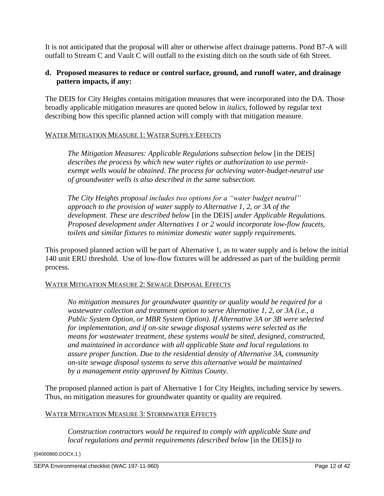It is not anticipated that the proposal will alter or otherwise affect drainage patterns. Pond B7-A will outfall to Stream C and Vault C will outfall to the existing ditch on the south side of 6th Street.

# **d. Proposed measures to reduce or control surface, ground, and runoff water, and drainage pattern impacts, if any:**

The DEIS for City Heights contains mitigation measures that were incorporated into the DA. Those broadly applicable mitigation measures are quoted below in *italics*, followed by regular text describing how this specific planned action will comply with that mitigation measure.

## WATER MITIGATION MEASURE 1: WATER SUPPLY EFFECTS

*The Mitigation Measures: Applicable Regulations subsection below* [in the DEIS] *describes the process by which new water rights or authorization to use permitexempt wells would be obtained. The process for achieving water-budget-neutral use of groundwater wells is also described in the same subsection.*

*The City Heights proposal includes two options for a "water budget neutral" approach to the provision of water supply to Alternative 1, 2, or 3A of the development. These are described below* [in the DEIS] *under Applicable Regulations. Proposed development under Alternatives 1 or 2 would incorporate low-flow faucets, toilets and similar fixtures to minimize domestic water supply requirements.*

This proposed planned action will be part of Alternative 1, as to water supply and is below the initial 140 unit ERU threshold. Use of low-flow fixtures will be addressed as part of the building permit process.

### WATER MITIGATION MEASURE 2: SEWAGE DISPOSAL EFFECTS

*No mitigation measures for groundwater quantity or quality would be required for a wastewater collection and treatment option to serve Alternative 1, 2, or 3A (i.e., a Public System Option, or MBR System Option). If Alternative 3A or 3B were selected for implementation, and if on-site sewage disposal systems were selected as the means for wastewater treatment, these systems would be sited, designed, constructed, and maintained in accordance with all applicable State and local regulations to assure proper function. Due to the residential density of Alternative 3A, community on-site sewage disposal systems to serve this alternative would be maintained by a management entity approved by Kittitas County.*

The proposed planned action is part of Alternative 1 for City Heights, including service by sewers. Thus, no mitigation measures for groundwater quantity or quality are required.

#### WATER MITIGATION MEASURE 3: STORMWATER EFFECTS

*Construction contractors would be required to comply with applicable State and local regulations and permit requirements (described below* [in the DEIS]*) to*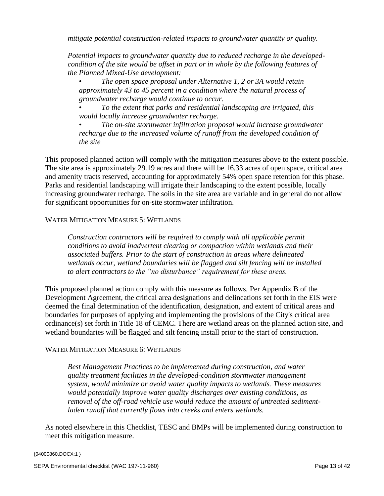*mitigate potential construction-related impacts to groundwater quantity or quality.*

*Potential impacts to groundwater quantity due to reduced recharge in the developedcondition of the site would be offset in part or in whole by the following features of the Planned Mixed-Use development:*

• *The open space proposal under Alternative 1, 2 or 3A would retain approximately 43 to 45 percent in a condition where the natural process of groundwater recharge would continue to occur.*

• *To the extent that parks and residential landscaping are irrigated, this would locally increase groundwater recharge.*

• *The on-site stormwater infiltration proposal would increase groundwater recharge due to the increased volume of runoff from the developed condition of the site*

This proposed planned action will comply with the mitigation measures above to the extent possible. The site area is approximately 29.19 acres and there will be 16.33 acres of open space, critical area and amenity tracts reserved, accounting for approximately 54% open space retention for this phase. Parks and residential landscaping will irrigate their landscaping to the extent possible, locally increasing groundwater recharge. The soils in the site area are variable and in general do not allow for significant opportunities for on-site stormwater infiltration.

### WATER MITIGATION MEASURE 5: WETLANDS

*Construction contractors will be required to comply with all applicable permit conditions to avoid inadvertent clearing or compaction within wetlands and their associated buffers. Prior to the start of construction in areas where delineated wetlands occur, wetland boundaries will be flagged and silt fencing will be installed to alert contractors to the "no disturbance" requirement for these areas.*

This proposed planned action comply with this measure as follows. Per Appendix B of the Development Agreement, the critical area designations and delineations set forth in the EIS were deemed the final determination of the identification, designation, and extent of critical areas and boundaries for purposes of applying and implementing the provisions of the City's critical area ordinance(s) set forth in Title 18 of CEMC. There are wetland areas on the planned action site, and wetland boundaries will be flagged and silt fencing install prior to the start of construction.

### WATER MITIGATION MEASURE 6: WETLANDS

*Best Management Practices to be implemented during construction, and water quality treatment facilities in the developed-condition stormwater management system, would minimize or avoid water quality impacts to wetlands. These measures would potentially improve water quality discharges over existing conditions, as removal of the off-road vehicle use would reduce the amount of untreated sedimentladen runoff that currently flows into creeks and enters wetlands.*

As noted elsewhere in this Checklist, TESC and BMPs will be implemented during construction to meet this mitigation measure.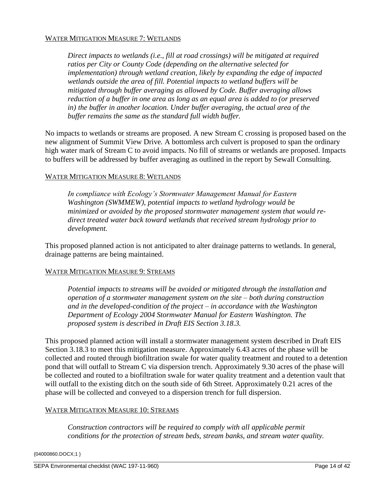#### WATER MITIGATION MEASURE 7: WETLANDS

*Direct impacts to wetlands (i.e., fill at road crossings) will be mitigated at required ratios per City or County Code (depending on the alternative selected for implementation) through wetland creation, likely by expanding the edge of impacted wetlands outside the area of fill. Potential impacts to wetland buffers will be mitigated through buffer averaging as allowed by Code. Buffer averaging allows reduction of a buffer in one area as long as an equal area is added to (or preserved in) the buffer in another location. Under buffer averaging, the actual area of the buffer remains the same as the standard full width buffer.*

No impacts to wetlands or streams are proposed. A new Stream C crossing is proposed based on the new alignment of Summit View Drive. A bottomless arch culvert is proposed to span the ordinary high water mark of Stream C to avoid impacts. No fill of streams or wetlands are proposed. Impacts to buffers will be addressed by buffer averaging as outlined in the report by Sewall Consulting.

#### WATER MITIGATION MEASURE 8: WETLANDS

*In compliance with Ecology's Stormwater Management Manual for Eastern Washington (SWMMEW), potential impacts to wetland hydrology would be minimized or avoided by the proposed stormwater management system that would redirect treated water back toward wetlands that received stream hydrology prior to development.*

This proposed planned action is not anticipated to alter drainage patterns to wetlands. In general, drainage patterns are being maintained.

#### WATER MITIGATION MEASURE 9: STREAMS

*Potential impacts to streams will be avoided or mitigated through the installation and operation of a stormwater management system on the site – both during construction and in the developed-condition of the project – in accordance with the Washington Department of Ecology 2004 Stormwater Manual for Eastern Washington. The proposed system is described in Draft EIS Section 3.18.3.*

This proposed planned action will install a stormwater management system described in Draft EIS Section 3.18.3 to meet this mitigation measure. Approximately 6.43 acres of the phase will be collected and routed through biofiltration swale for water quality treatment and routed to a detention pond that will outfall to Stream C via dispersion trench. Approximately 9.30 acres of the phase will be collected and routed to a biofiltration swale for water quality treatment and a detention vault that will outfall to the existing ditch on the south side of 6th Street. Approximately 0.21 acres of the phase will be collected and conveyed to a dispersion trench for full dispersion.

#### WATER MITIGATION MEASURE 10: STREAMS

*Construction contractors will be required to comply with all applicable permit conditions for the protection of stream beds, stream banks, and stream water quality.*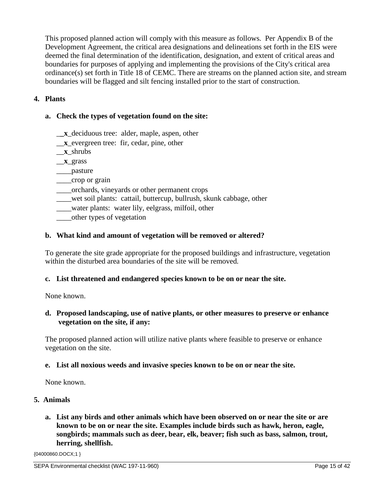This proposed planned action will comply with this measure as follows. Per Appendix B of the Development Agreement, the critical area designations and delineations set forth in the EIS were deemed the final determination of the identification, designation, and extent of critical areas and boundaries for purposes of applying and implementing the provisions of the City's critical area ordinance(s) set forth in Title 18 of CEMC. There are streams on the planned action site, and stream boundaries will be flagged and silt fencing installed prior to the start of construction.

# **4. Plants**

# **a. Check the types of vegetation found on the site:**

- \_**\_x**\_deciduous tree: alder, maple, aspen, other
- \_\_**x**\_evergreen tree: fir, cedar, pine, other
- \_\_**x**\_shrubs
- \_\_**x**\_grass
- \_\_\_\_pasture
- \_\_\_\_crop or grain
- \_\_\_\_orchards, vineyards or other permanent crops
- \_\_\_\_wet soil plants: cattail, buttercup, bullrush, skunk cabbage, other
- \_\_\_\_water plants: water lily, eelgrass, milfoil, other
- \_\_\_\_other types of vegetation

# **b. What kind and amount of vegetation will be removed or altered?**

To generate the site grade appropriate for the proposed buildings and infrastructure, vegetation within the disturbed area boundaries of the site will be removed.

# **c. List threatened and endangered species known to be on or near the site.**

None known.

# **d. Proposed landscaping, use of native plants, or other measures to preserve or enhance vegetation on the site, if any:**

The proposed planned action will utilize native plants where feasible to preserve or enhance vegetation on the site.

### **e. List all noxious weeds and invasive species known to be on or near the site.**

None known.

# **5. Animals**

**a. List any birds and other animals which have been observed on or near the site or are known to be on or near the site. Examples include birds such as hawk, heron, eagle, songbirds; mammals such as deer, bear, elk, beaver; fish such as bass, salmon, trout, herring, shellfish.**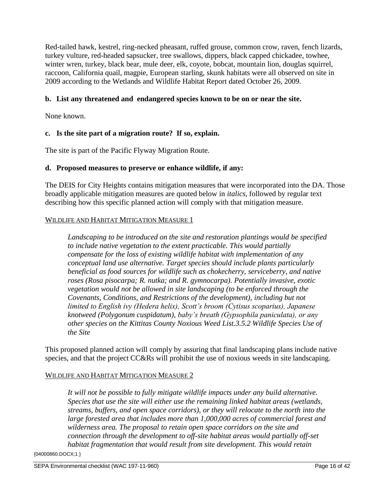Red-tailed hawk, kestrel, ring-necked pheasant, ruffed grouse, common crow, raven, fench lizards, turkey vulture, red-headed sapsucker, tree swallows, dippers, black capped chickadee, towhee, winter wren, turkey, black bear, mule deer, elk, coyote, bobcat, mountain lion, douglas squirrel, raccoon, California quail, magpie, European starling, skunk habitats were all observed on site in 2009 according to the Wetlands and Wildlife Habitat Report dated October 26, 2009.

# **b. List any threatened and endangered species known to be on or near the site.**

None known.

# **c. Is the site part of a migration route? If so, explain.**

The site is part of the Pacific Flyway Migration Route.

## **d. Proposed measures to preserve or enhance wildlife, if any:**

The DEIS for City Heights contains mitigation measures that were incorporated into the DA. Those broadly applicable mitigation measures are quoted below in *italics*, followed by regular text describing how this specific planned action will comply with that mitigation measure.

### WILDLIFE AND HABITAT MITIGATION MEASURE 1

*Landscaping to be introduced on the site and restoration plantings would be specified to include native vegetation to the extent practicable. This would partially compensate for the loss of existing wildlife habitat with implementation of any conceptual land use alternative. Target species should include plants particularly beneficial as food sources for wildlife such as chokecherry, serviceberry, and native roses (Rosa pisocarpa; R. nutka; and R. gymnocarpa). Potentially invasive, exotic vegetation would not be allowed in site landscaping (to be enforced through the Covenants, Conditions, and Restrictions of the development), including but not limited to English ivy (Hedera helix), Scott's broom (Cytisus scoparius), Japanese knotweed (Polygonum cuspidatum), baby's breath (Gypsophila paniculata), or any other species on the Kittitas County Noxious Weed List.3.5.2 Wildlife Species Use of the Site*

This proposed planned action will comply by assuring that final landscaping plans include native species, and that the project CC&Rs will prohibit the use of noxious weeds in site landscaping.

# WILDLIFE AND HABITAT MITIGATION MEASURE 2

*It will not be possible to fully mitigate wildlife impacts under any build alternative. Species that use the site will either use the remaining linked habitat areas (wetlands, streams, buffers, and open space corridors), or they will relocate to the north into the large forested area that includes more than 1,000,000 acres of commercial forest and wilderness area. The proposal to retain open space corridors on the site and connection through the development to off-site habitat areas would partially off-set habitat fragmentation that would result from site development. This would retain*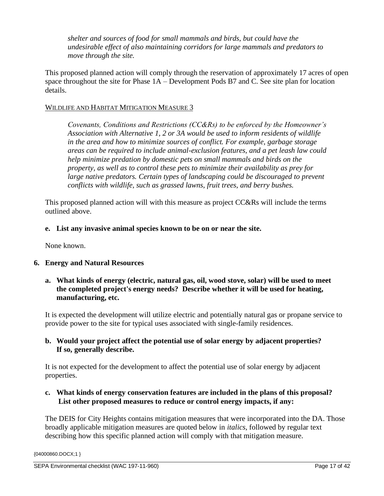*shelter and sources of food for small mammals and birds, but could have the undesirable effect of also maintaining corridors for large mammals and predators to move through the site.*

This proposed planned action will comply through the reservation of approximately 17 acres of open space throughout the site for Phase 1A – Development Pods B7 and C. See site plan for location details.

## WILDLIFE AND HABITAT MITIGATION MEASURE 3

*Covenants, Conditions and Restrictions (CC&Rs) to be enforced by the Homeowner's Association with Alternative 1, 2 or 3A would be used to inform residents of wildlife in the area and how to minimize sources of conflict. For example, garbage storage areas can be required to include animal-exclusion features, and a pet leash law could help minimize predation by domestic pets on small mammals and birds on the property, as well as to control these pets to minimize their availability as prey for*  large native predators. Certain types of landscaping could be discouraged to prevent *conflicts with wildlife, such as grassed lawns, fruit trees, and berry bushes.*

This proposed planned action will with this measure as project CC&Rs will include the terms outlined above.

## **e. List any invasive animal species known to be on or near the site.**

None known.

# **6. Energy and Natural Resources**

**a. What kinds of energy (electric, natural gas, oil, wood stove, solar) will be used to meet the completed project's energy needs? Describe whether it will be used for heating, manufacturing, etc.** 

It is expected the development will utilize electric and potentially natural gas or propane service to provide power to the site for typical uses associated with single-family residences.

## **b. Would your project affect the potential use of solar energy by adjacent properties? If so, generally describe.**

It is not expected for the development to affect the potential use of solar energy by adjacent properties.

**c. What kinds of energy conservation features are included in the plans of this proposal? List other proposed measures to reduce or control energy impacts, if any:** 

The DEIS for City Heights contains mitigation measures that were incorporated into the DA. Those broadly applicable mitigation measures are quoted below in *italics*, followed by regular text describing how this specific planned action will comply with that mitigation measure.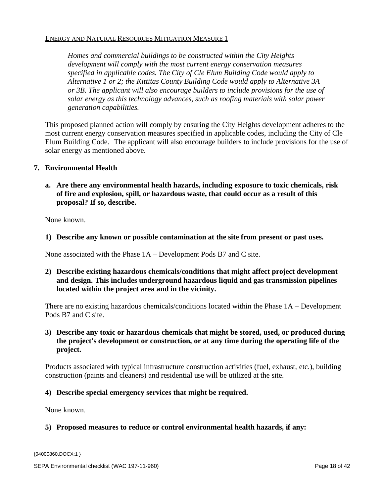*Homes and commercial buildings to be constructed within the City Heights development will comply with the most current energy conservation measures specified in applicable codes. The City of Cle Elum Building Code would apply to Alternative 1 or 2; the Kittitas County Building Code would apply to Alternative 3A or 3B. The applicant will also encourage builders to include provisions for the use of solar energy as this technology advances, such as roofing materials with solar power generation capabilities.*

This proposed planned action will comply by ensuring the City Heights development adheres to the most current energy conservation measures specified in applicable codes, including the City of Cle Elum Building Code. The applicant will also encourage builders to include provisions for the use of solar energy as mentioned above.

## **7. Environmental Health**

**a. Are there any environmental health hazards, including exposure to toxic chemicals, risk of fire and explosion, spill, or hazardous waste, that could occur as a result of this proposal? If so, describe.**

None known.

**1) Describe any known or possible contamination at the site from present or past uses.** 

None associated with the Phase 1A – Development Pods B7 and C site.

**2) Describe existing hazardous chemicals/conditions that might affect project development and design. This includes underground hazardous liquid and gas transmission pipelines located within the project area and in the vicinity.** 

There are no existing hazardous chemicals/conditions located within the Phase 1A – Development Pods B7 and C site.

### **3) Describe any toxic or hazardous chemicals that might be stored, used, or produced during the project's development or construction, or at any time during the operating life of the project.**

Products associated with typical infrastructure construction activities (fuel, exhaust, etc.), building construction (paints and cleaners) and residential use will be utilized at the site.

### **4) Describe special emergency services that might be required.**

None known.

### **5) Proposed measures to reduce or control environmental health hazards, if any:**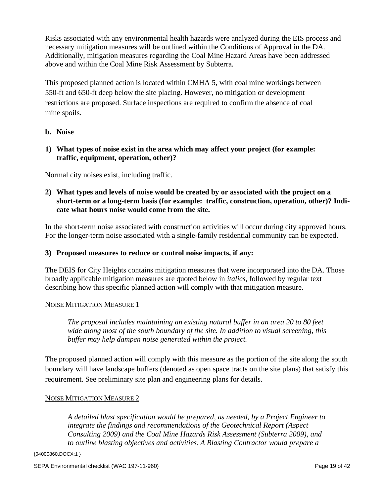Risks associated with any environmental health hazards were analyzed during the EIS process and necessary mitigation measures will be outlined within the Conditions of Approval in the DA. Additionally, mitigation measures regarding the Coal Mine Hazard Areas have been addressed above and within the Coal Mine Risk Assessment by Subterra.

This proposed planned action is located within CMHA 5, with coal mine workings between 550-ft and 650-ft deep below the site placing. However, no mitigation or development restrictions are proposed. Surface inspections are required to confirm the absence of coal mine spoils.

# **b. Noise**

**1) What types of noise exist in the area which may affect your project (for example: traffic, equipment, operation, other)?** 

Normal city noises exist, including traffic.

**2) What types and levels of noise would be created by or associated with the project on a short-term or a long-term basis (for example: traffic, construction, operation, other)? Indicate what hours noise would come from the site.**

In the short-term noise associated with construction activities will occur during city approved hours. For the longer-term noise associated with a single-family residential community can be expected.

# **3) Proposed measures to reduce or control noise impacts, if any:**

The DEIS for City Heights contains mitigation measures that were incorporated into the DA. Those broadly applicable mitigation measures are quoted below in *italics*, followed by regular text describing how this specific planned action will comply with that mitigation measure.

# NOISE MITIGATION MEASURE 1

*The proposal includes maintaining an existing natural buffer in an area 20 to 80 feet wide along most of the south boundary of the site. In addition to visual screening, this buffer may help dampen noise generated within the project.* 

The proposed planned action will comply with this measure as the portion of the site along the south boundary will have landscape buffers (denoted as open space tracts on the site plans) that satisfy this requirement. See preliminary site plan and engineering plans for details.

# NOISE MITIGATION MEASURE 2

*A detailed blast specification would be prepared, as needed, by a Project Engineer to*  integrate the findings and recommendations of the Geotechnical Report (Aspect *Consulting 2009) and the Coal Mine Hazards Risk Assessment (Subterra 2009), and to outline blasting objectives and activities. A Blasting Contractor would prepare a*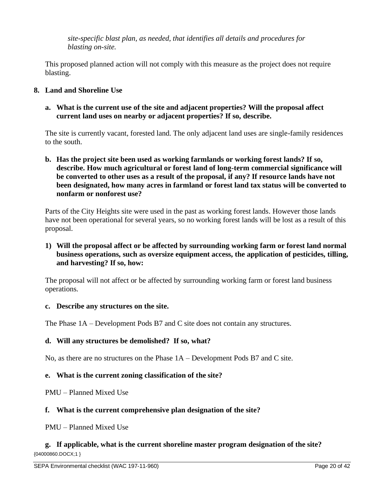*site-specific blast plan, as needed, that identifies all details and procedures for blasting on-site.*

This proposed planned action will not comply with this measure as the project does not require blasting.

# **8. Land and Shoreline Use**

**a. What is the current use of the site and adjacent properties? Will the proposal affect current land uses on nearby or adjacent properties? If so, describe.**

The site is currently vacant, forested land. The only adjacent land uses are single-family residences to the south.

# **b. Has the project site been used as working farmlands or working forest lands? If so, describe. How much agricultural or forest land of long-term commercial significance will be converted to other uses as a result of the proposal, if any? If resource lands have not been designated, how many acres in farmland or forest land tax status will be converted to nonfarm or nonforest use?**

Parts of the City Heights site were used in the past as working forest lands. However those lands have not been operational for several years, so no working forest lands will be lost as a result of this proposal.

# **1) Will the proposal affect or be affected by surrounding working farm or forest land normal business operations, such as oversize equipment access, the application of pesticides, tilling, and harvesting? If so, how:**

The proposal will not affect or be affected by surrounding working farm or forest land business operations.

### **c. Describe any structures on the site.**

The Phase 1A – Development Pods B7 and C site does not contain any structures.

# **d. Will any structures be demolished? If so, what?**

No, as there are no structures on the Phase 1A – Development Pods B7 and C site.

# **e. What is the current zoning classification of the site?**

PMU – Planned Mixed Use

# **f. What is the current comprehensive plan designation of the site?**

PMU – Planned Mixed Use

### {04000860.DOCX;1 } **g. If applicable, what is the current shoreline master program designation of the site?**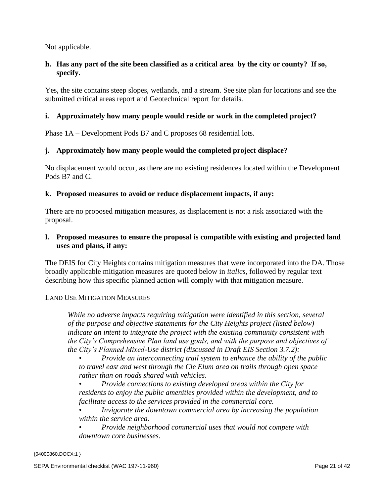Not applicable.

# **h. Has any part of the site been classified as a critical area by the city or county? If so, specify.**

Yes, the site contains steep slopes, wetlands, and a stream. See site plan for locations and see the submitted critical areas report and Geotechnical report for details.

## **i. Approximately how many people would reside or work in the completed project?**

Phase 1A – Development Pods B7 and C proposes 68 residential lots.

## **j. Approximately how many people would the completed project displace?**

No displacement would occur, as there are no existing residences located within the Development Pods B7 and C.

## **k. Proposed measures to avoid or reduce displacement impacts, if any:**

There are no proposed mitigation measures, as displacement is not a risk associated with the proposal.

### **l. Proposed measures to ensure the proposal is compatible with existing and projected land uses and plans, if any:**

The DEIS for City Heights contains mitigation measures that were incorporated into the DA. Those broadly applicable mitigation measures are quoted below in *italics*, followed by regular text describing how this specific planned action will comply with that mitigation measure.

### LAND USE MITIGATION MEASURES

*While no adverse impacts requiring mitigation were identified in this section, several of the purpose and objective statements for the City Heights project (listed below) indicate an intent to integrate the project with the existing community consistent with the City's Comprehensive Plan land use goals, and with the purpose and objectives of the City's Planned Mixed-Use district (discussed in Draft EIS Section 3.7.2):* 

• *Provide an interconnecting trail system to enhance the ability of the public to travel east and west through the Cle Elum area on trails through open space rather than on roads shared with vehicles.*

• *Provide connections to existing developed areas within the City for residents to enjoy the public amenities provided within the development, and to facilitate access to the services provided in the commercial core.* 

• *Invigorate the downtown commercial area by increasing the population within the service area.* 

• *Provide neighborhood commercial uses that would not compete with downtown core businesses.*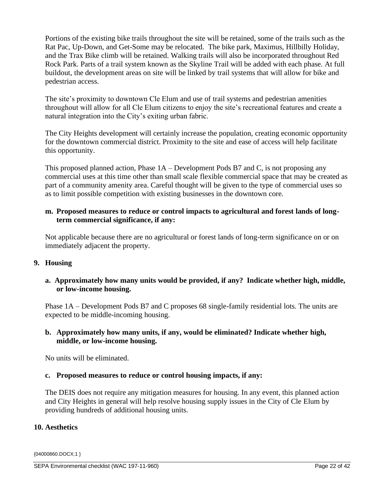Portions of the existing bike trails throughout the site will be retained, some of the trails such as the Rat Pac, Up-Down, and Get-Some may be relocated. The bike park, Maximus, Hillbilly Holiday, and the Trax Bike climb will be retained. Walking trails will also be incorporated throughout Red Rock Park. Parts of a trail system known as the Skyline Trail will be added with each phase. At full buildout, the development areas on site will be linked by trail systems that will allow for bike and pedestrian access.

The site's proximity to downtown Cle Elum and use of trail systems and pedestrian amenities throughout will allow for all Cle Elum citizens to enjoy the site's recreational features and create a natural integration into the City's exiting urban fabric.

The City Heights development will certainly increase the population, creating economic opportunity for the downtown commercial district. Proximity to the site and ease of access will help facilitate this opportunity.

This proposed planned action, Phase  $1A$  – Development Pods B7 and C, is not proposing any commercial uses at this time other than small scale flexible commercial space that may be created as part of a community amenity area. Careful thought will be given to the type of commercial uses so as to limit possible competition with existing businesses in the downtown core.

# **m. Proposed measures to reduce or control impacts to agricultural and forest lands of longterm commercial significance, if any:**

Not applicable because there are no agricultural or forest lands of long-term significance on or on immediately adjacent the property.

# **9. Housing**

## **a. Approximately how many units would be provided, if any? Indicate whether high, middle, or low-income housing.**

Phase 1A – Development Pods B7 and C proposes 68 single-family residential lots. The units are expected to be middle-incoming housing.

## **b. Approximately how many units, if any, would be eliminated? Indicate whether high, middle, or low-income housing.**

No units will be eliminated.

# **c. Proposed measures to reduce or control housing impacts, if any:**

The DEIS does not require any mitigation measures for housing. In any event, this planned action and City Heights in general will help resolve housing supply issues in the City of Cle Elum by providing hundreds of additional housing units.

# **10. Aesthetics**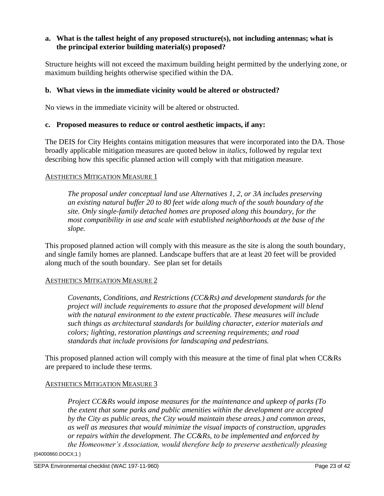## **a. What is the tallest height of any proposed structure(s), not including antennas; what is the principal exterior building material(s) proposed?**

Structure heights will not exceed the maximum building height permitted by the underlying zone, or maximum building heights otherwise specified within the DA.

### **b. What views in the immediate vicinity would be altered or obstructed?**

No views in the immediate vicinity will be altered or obstructed.

### **c. Proposed measures to reduce or control aesthetic impacts, if any:**

The DEIS for City Heights contains mitigation measures that were incorporated into the DA. Those broadly applicable mitigation measures are quoted below in *italics*, followed by regular text describing how this specific planned action will comply with that mitigation measure.

#### AESTHETICS MITIGATION MEASURE 1

*The proposal under conceptual land use Alternatives 1, 2, or 3A includes preserving an existing natural buffer 20 to 80 feet wide along much of the south boundary of the site. Only single-family detached homes are proposed along this boundary, for the most compatibility in use and scale with established neighborhoods at the base of the slope.*

This proposed planned action will comply with this measure as the site is along the south boundary, and single family homes are planned. Landscape buffers that are at least 20 feet will be provided along much of the south boundary. See plan set for details

### AESTHETICS MITIGATION MEASURE 2

*Covenants, Conditions, and Restrictions (CC&Rs) and development standards for the project will include requirements to assure that the proposed development will blend with the natural environment to the extent practicable. These measures will include such things as architectural standards for building character, exterior materials and colors; lighting, restoration plantings and screening requirements; and road standards that include provisions for landscaping and pedestrians.*

This proposed planned action will comply with this measure at the time of final plat when CC&Rs are prepared to include these terms.

### AESTHETICS MITIGATION MEASURE 3

*Project CC&Rs would impose measures for the maintenance and upkeep of parks (To the extent that some parks and public amenities within the development are accepted by the City as public areas, the City would maintain these areas.) and common areas, as well as measures that would minimize the visual impacts of construction, upgrades or repairs within the development. The CC&Rs, to be implemented and enforced by the Homeowner's Association, would therefore help to preserve aesthetically pleasing*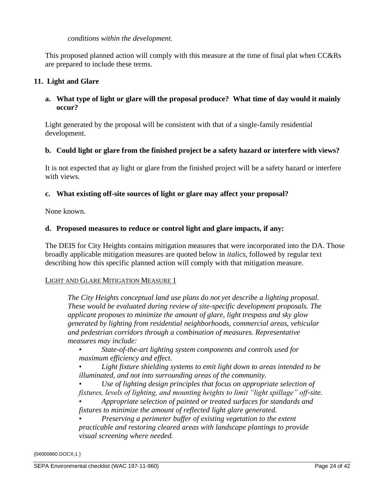### *conditions within the development.*

This proposed planned action will comply with this measure at the time of final plat when CC&Rs are prepared to include these terms.

# **11. Light and Glare**

# **a. What type of light or glare will the proposal produce? What time of day would it mainly occur?**

Light generated by the proposal will be consistent with that of a single-family residential development.

## **b. Could light or glare from the finished project be a safety hazard or interfere with views?**

It is not expected that ay light or glare from the finished project will be a safety hazard or interfere with views.

## **c. What existing off-site sources of light or glare may affect your proposal?**

None known.

### **d. Proposed measures to reduce or control light and glare impacts, if any:**

The DEIS for City Heights contains mitigation measures that were incorporated into the DA. Those broadly applicable mitigation measures are quoted below in *italics*, followed by regular text describing how this specific planned action will comply with that mitigation measure.

### LIGHT AND GLARE MITIGATION MEASURE 1

*The City Heights conceptual land use plans do not yet describe a lighting proposal. These would be evaluated during review of site-specific development proposals. The applicant proposes to minimize the amount of glare, light trespass and sky glow generated by lighting from residential neighborhoods, commercial areas, vehicular and pedestrian corridors through a combination of measures. Representative measures may include:*

• *State-of-the-art lighting system components and controls used for maximum efficiency and effect.* 

• *Light fixture shielding systems to emit light down to areas intended to be illuminated, and not into surrounding areas of the community.* 

• *Use of lighting design principles that focus on appropriate selection of fixtures, levels of lighting, and mounting heights to limit "light spillage" off-site.* 

• *Appropriate selection of painted or treated surfaces for standards and fixtures to minimize the amount of reflected light glare generated.* 

• *Preserving a perimeter buffer of existing vegetation to the extent practicable and restoring cleared areas with landscape plantings to provide visual screening where needed.*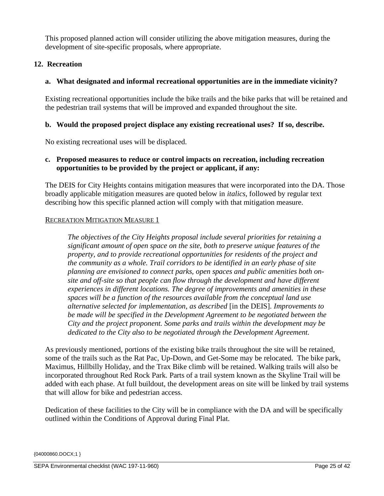This proposed planned action will consider utilizing the above mitigation measures, during the development of site-specific proposals, where appropriate.

# **12. Recreation**

# **a. What designated and informal recreational opportunities are in the immediate vicinity?**

Existing recreational opportunities include the bike trails and the bike parks that will be retained and the pedestrian trail systems that will be improved and expanded throughout the site.

# **b. Would the proposed project displace any existing recreational uses? If so, describe.**

No existing recreational uses will be displaced.

# **c. Proposed measures to reduce or control impacts on recreation, including recreation opportunities to be provided by the project or applicant, if any:**

The DEIS for City Heights contains mitigation measures that were incorporated into the DA. Those broadly applicable mitigation measures are quoted below in *italics*, followed by regular text describing how this specific planned action will comply with that mitigation measure.

## RECREATION MITIGATION MEASURE 1

*The objectives of the City Heights proposal include several priorities for retaining a significant amount of open space on the site, both to preserve unique features of the property, and to provide recreational opportunities for residents of the project and the community as a whole. Trail corridors to be identified in an early phase of site planning are envisioned to connect parks, open spaces and public amenities both onsite and off-site so that people can flow through the development and have different experiences in different locations. The degree of improvements and amenities in these spaces will be a function of the resources available from the conceptual land use alternative selected for implementation, as described* [in the DEIS]*. Improvements to be made will be specified in the Development Agreement to be negotiated between the City and the project proponent. Some parks and trails within the development may be dedicated to the City also to be negotiated through the Development Agreement.*

As previously mentioned, portions of the existing bike trails throughout the site will be retained, some of the trails such as the Rat Pac, Up-Down, and Get-Some may be relocated. The bike park, Maximus, Hillbilly Holiday, and the Trax Bike climb will be retained. Walking trails will also be incorporated throughout Red Rock Park. Parts of a trail system known as the Skyline Trail will be added with each phase. At full buildout, the development areas on site will be linked by trail systems that will allow for bike and pedestrian access.

Dedication of these facilities to the City will be in compliance with the DA and will be specifically outlined within the Conditions of Approval during Final Plat.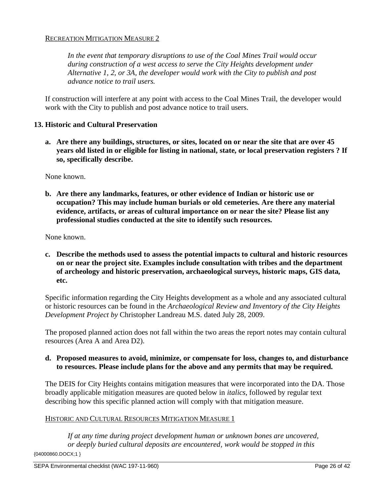### RECREATION MITIGATION MEASURE 2

*In the event that temporary disruptions to use of the Coal Mines Trail would occur during construction of a west access to serve the City Heights development under Alternative 1, 2, or 3A, the developer would work with the City to publish and post advance notice to trail users.*

If construction will interfere at any point with access to the Coal Mines Trail, the developer would work with the City to publish and post advance notice to trail users.

#### **13. Historic and Cultural Preservation**

**a. Are there any buildings, structures, or sites, located on or near the site that are over 45 years old listed in or eligible for listing in national, state, or local preservation registers ? If so, specifically describe.** 

None known.

**b. Are there any landmarks, features, or other evidence of Indian or historic use or occupation? This may include human burials or old cemeteries. Are there any material evidence, artifacts, or areas of cultural importance on or near the site? Please list any professional studies conducted at the site to identify such resources.**

None known.

**c. Describe the methods used to assess the potential impacts to cultural and historic resources on or near the project site. Examples include consultation with tribes and the department of archeology and historic preservation, archaeological surveys, historic maps, GIS data, etc.** 

Specific information regarding the City Heights development as a whole and any associated cultural or historic resources can be found in the *Archaeological Review and Inventory of the City Heights Development Project by* Christopher Landreau M.S. dated July 28, 2009.

The proposed planned action does not fall within the two areas the report notes may contain cultural resources (Area A and Area D2).

## **d. Proposed measures to avoid, minimize, or compensate for loss, changes to, and disturbance to resources. Please include plans for the above and any permits that may be required.**

The DEIS for City Heights contains mitigation measures that were incorporated into the DA. Those broadly applicable mitigation measures are quoted below in *italics*, followed by regular text describing how this specific planned action will comply with that mitigation measure.

### HISTORIC AND CULTURAL RESOURCES MITIGATION MEASURE 1

{04000860.DOCX;1 } *If at any time during project development human or unknown bones are uncovered, or deeply buried cultural deposits are encountered, work would be stopped in this*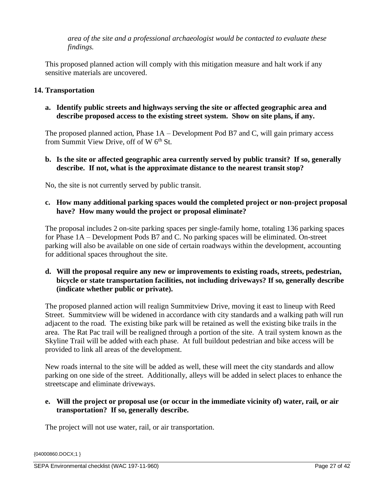*area of the site and a professional archaeologist would be contacted to evaluate these findings.*

This proposed planned action will comply with this mitigation measure and halt work if any sensitive materials are uncovered.

# **14. Transportation**

**a. Identify public streets and highways serving the site or affected geographic area and describe proposed access to the existing street system. Show on site plans, if any.** 

The proposed planned action, Phase 1A – Development Pod B7 and C, will gain primary access from Summit View Drive, off of W $6<sup>th</sup>$  St.

**b. Is the site or affected geographic area currently served by public transit? If so, generally describe. If not, what is the approximate distance to the nearest transit stop?** 

No, the site is not currently served by public transit.

# **c. How many additional parking spaces would the completed project or non-project proposal have? How many would the project or proposal eliminate?**

The proposal includes 2 on-site parking spaces per single-family home, totaling 136 parking spaces for Phase 1A – Development Pods B7 and C. No parking spaces will be eliminated. On-street parking will also be available on one side of certain roadways within the development, accounting for additional spaces throughout the site.

**d. Will the proposal require any new or improvements to existing roads, streets, pedestrian, bicycle or state transportation facilities, not including driveways? If so, generally describe (indicate whether public or private).** 

The proposed planned action will realign Summitview Drive, moving it east to lineup with Reed Street. Summitview will be widened in accordance with city standards and a walking path will run adjacent to the road. The existing bike park will be retained as well the existing bike trails in the area. The Rat Pac trail will be realigned through a portion of the site. A trail system known as the Skyline Trail will be added with each phase. At full buildout pedestrian and bike access will be provided to link all areas of the development.

New roads internal to the site will be added as well, these will meet the city standards and allow parking on one side of the street. Additionally, alleys will be added in select places to enhance the streetscape and eliminate driveways.

# **e. Will the project or proposal use (or occur in the immediate vicinity of) water, rail, or air transportation? If so, generally describe.**

The project will not use water, rail, or air transportation.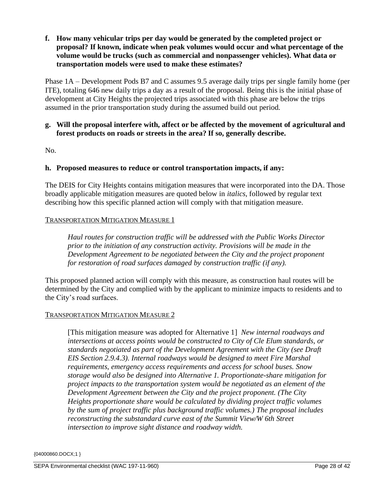**f. How many vehicular trips per day would be generated by the completed project or proposal? If known, indicate when peak volumes would occur and what percentage of the volume would be trucks (such as commercial and nonpassenger vehicles). What data or transportation models were used to make these estimates?**

Phase 1A – Development Pods B7 and C assumes 9.5 average daily trips per single family home (per ITE), totaling 646 new daily trips a day as a result of the proposal. Being this is the initial phase of development at City Heights the projected trips associated with this phase are below the trips assumed in the prior transportation study during the assumed build out period.

# **g. Will the proposal interfere with, affect or be affected by the movement of agricultural and forest products on roads or streets in the area? If so, generally describe.**

No.

## **h. Proposed measures to reduce or control transportation impacts, if any:**

The DEIS for City Heights contains mitigation measures that were incorporated into the DA. Those broadly applicable mitigation measures are quoted below in *italics*, followed by regular text describing how this specific planned action will comply with that mitigation measure.

### TRANSPORTATION MITIGATION MEASURE 1

*Haul routes for construction traffic will be addressed with the Public Works Director prior to the initiation of any construction activity. Provisions will be made in the Development Agreement to be negotiated between the City and the project proponent for restoration of road surfaces damaged by construction traffic (if any).*

This proposed planned action will comply with this measure, as construction haul routes will be determined by the City and complied with by the applicant to minimize impacts to residents and to the City's road surfaces.

### TRANSPORTATION MITIGATION MEASURE 2

[This mitigation measure was adopted for Alternative 1] *New internal roadways and intersections at access points would be constructed to City of Cle Elum standards, or standards negotiated as part of the Development Agreement with the City (see Draft EIS Section 2.9.4.3). Internal roadways would be designed to meet Fire Marshal requirements, emergency access requirements and access for school buses. Snow storage would also be designed into Alternative 1. Proportionate-share mitigation for project impacts to the transportation system would be negotiated as an element of the Development Agreement between the City and the project proponent. (The City Heights proportionate share would be calculated by dividing project traffic volumes by the sum of project traffic plus background traffic volumes.) The proposal includes reconstructing the substandard curve east of the Summit View/W 6th Street intersection to improve sight distance and roadway width.*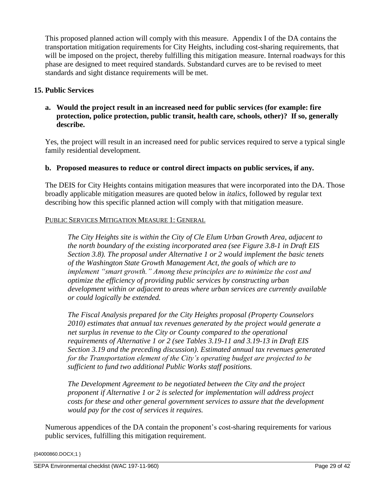This proposed planned action will comply with this measure. Appendix I of the DA contains the transportation mitigation requirements for City Heights, including cost-sharing requirements, that will be imposed on the project, thereby fulfilling this mitigation measure. Internal roadways for this phase are designed to meet required standards. Substandard curves are to be revised to meet standards and sight distance requirements will be met.

# **15. Public Services**

# **a. Would the project result in an increased need for public services (for example: fire protection, police protection, public transit, health care, schools, other)? If so, generally describe.**

Yes, the project will result in an increased need for public services required to serve a typical single family residential development.

### **b. Proposed measures to reduce or control direct impacts on public services, if any.**

The DEIS for City Heights contains mitigation measures that were incorporated into the DA. Those broadly applicable mitigation measures are quoted below in *italics*, followed by regular text describing how this specific planned action will comply with that mitigation measure.

### PUBLIC SERVICES MITIGATION MEASURE 1: GENERAL

*The City Heights site is within the City of Cle Elum Urban Growth Area, adjacent to the north boundary of the existing incorporated area (see Figure 3.8-1 in Draft EIS Section 3.8). The proposal under Alternative 1 or 2 would implement the basic tenets of the Washington State Growth Management Act, the goals of which are to implement "smart growth." Among these principles are to minimize the cost and optimize the efficiency of providing public services by constructing urban development within or adjacent to areas where urban services are currently available or could logically be extended.*

*The Fiscal Analysis prepared for the City Heights proposal (Property Counselors 2010) estimates that annual tax revenues generated by the project would generate a net surplus in revenue to the City or County compared to the operational requirements of Alternative 1 or 2 (see Tables 3.19-11 and 3.19-13 in Draft EIS Section 3.19 and the preceding discussion). Estimated annual tax revenues generated for the Transportation element of the City's operating budget are projected to be sufficient to fund two additional Public Works staff positions.*

*The Development Agreement to be negotiated between the City and the project proponent if Alternative 1 or 2 is selected for implementation will address project costs for these and other general government services to assure that the development would pay for the cost of services it requires.*

Numerous appendices of the DA contain the proponent's cost-sharing requirements for various public services, fulfilling this mitigation requirement.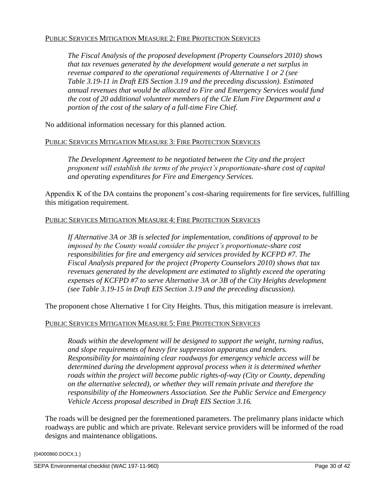### PUBLIC SERVICES MITIGATION MEASURE 2: FIRE PROTECTION SERVICES

*The Fiscal Analysis of the proposed development (Property Counselors 2010) shows that tax revenues generated by the development would generate a net surplus in revenue compared to the operational requirements of Alternative 1 or 2 (see Table 3.19-11 in Draft EIS Section 3.19 and the preceding discussion). Estimated annual revenues that would be allocated to Fire and Emergency Services would fund the cost of 20 additional volunteer members of the Cle Elum Fire Department and a portion of the cost of the salary of a full-time Fire Chief.*

No additional information necessary for this planned action.

### PUBLIC SERVICES MITIGATION MEASURE 3: FIRE PROTECTION SERVICES

*The Development Agreement to be negotiated between the City and the project proponent will establish the terms of the project's proportionate-share cost of capital and operating expenditures for Fire and Emergency Services.*

Appendix K of the DA contains the proponent's cost-sharing requirements for fire services, fulfilling this mitigation requirement.

## PUBLIC SERVICES MITIGATION MEASURE 4: FIRE PROTECTION SERVICES

*If Alternative 3A or 3B is selected for implementation, conditions of approval to be imposed by the County would consider the project's proportionate-share cost responsibilities for fire and emergency aid services provided by KCFPD #7. The Fiscal Analysis prepared for the project (Property Counselors 2010) shows that tax revenues generated by the development are estimated to slightly exceed the operating expenses of KCFPD #7 to serve Alternative 3A or 3B of the City Heights development (see Table 3.19-15 in Draft EIS Section 3.19 and the preceding discussion).*

The proponent chose Alternative 1 for City Heights. Thus, this mitigation measure is irrelevant.

# PUBLIC SERVICES MITIGATION MEASURE 5: FIRE PROTECTION SERVICES

*Roads within the development will be designed to support the weight, turning radius, and slope requirements of heavy fire suppression apparatus and tenders. Responsibility for maintaining clear roadways for emergency vehicle access will be determined during the development approval process when it is determined whether roads within the project will become public rights-of-way (City or County, depending on the alternative selected), or whether they will remain private and therefore the responsibility of the Homeowners Association. See the Public Service and Emergency Vehicle Access proposal described in Draft EIS Section 3.16.*

The roads will be designed per the forementioned parameters. The prelimanry plans inidacte which roadways are public and which are private. Relevant service providers will be informed of the road designs and maintenance obligations.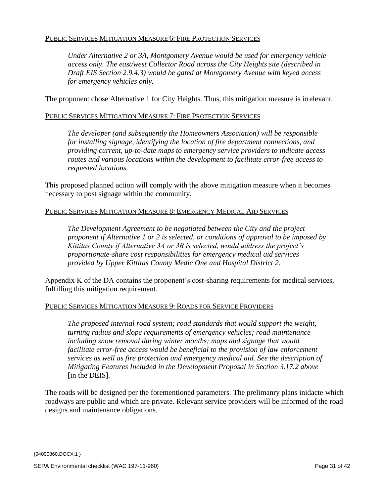# PUBLIC SERVICES MITIGATION MEASURE 6: FIRE PROTECTION SERVICES

*Under Alternative 2 or 3A, Montgomery Avenue would be used for emergency vehicle access only. The east/west Collector Road across the City Heights site (described in Draft EIS Section 2.9.4.3) would be gated at Montgomery Avenue with keyed access for emergency vehicles only.* 

The proponent chose Alternative 1 for City Heights. Thus, this mitigation measure is irrelevant.

### PUBLIC SERVICES MITIGATION MEASURE 7: FIRE PROTECTION SERVICES

*The developer (and subsequently the Homeowners Association) will be responsible for installing signage, identifying the location of fire department connections, and providing current, up-to-date maps to emergency service providers to indicate access routes and various locations within the development to facilitate error-free access to requested locations.*

This proposed planned action will comply with the above mitigation measure when it becomes necessary to post signage within the community.

### PUBLIC SERVICES MITIGATION MEASURE 8: EMERGENCY MEDICAL AID SERVICES

*The Development Agreement to be negotiated between the City and the project proponent if Alternative 1 or 2 is selected, or conditions of approval to be imposed by Kittitas County if Alternative 3A or 3B is selected, would address the project's proportionate-share cost responsibilities for emergency medical aid services provided by Upper Kittitas County Medic One and Hospital District 2.*

Appendix K of the DA contains the proponent's cost-sharing requirements for medical services, fulfilling this mitigation requirement.

### PUBLIC SERVICES MITIGATION MEASURE 9: ROADS FOR SERVICE PROVIDERS

*The proposed internal road system; road standards that would support the weight, turning radius and slope requirements of emergency vehicles; road maintenance including snow removal during winter months; maps and signage that would facilitate error-free access would be beneficial to the provision of law enforcement services as well as fire protection and emergency medical aid. See the description of Mitigating Features Included in the Development Proposal in Section 3.17.2 above* [in the DEIS]*.*

The roads will be designed per the forementioned parameters. The prelimanry plans inidacte which roadways are public and which are private. Relevant service providers will be informed of the road designs and maintenance obligations.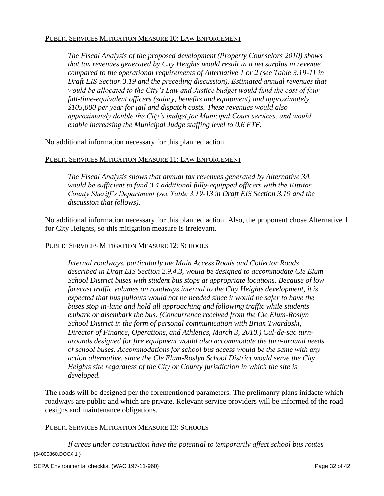### PUBLIC SERVICES MITIGATION MEASURE 10: LAW ENFORCEMENT

*The Fiscal Analysis of the proposed development (Property Counselors 2010) shows that tax revenues generated by City Heights would result in a net surplus in revenue compared to the operational requirements of Alternative 1 or 2 (see Table 3.19-11 in Draft EIS Section 3.19 and the preceding discussion). Estimated annual revenues that would be allocated to the City's Law and Justice budget would fund the cost of four full-time-equivalent officers (salary, benefits and equipment) and approximately \$105,000 per year for jail and dispatch costs. These revenues would also approximately double the City's budget for Municipal Court services, and would enable increasing the Municipal Judge staffing level to 0.6 FTE.* 

No additional information necessary for this planned action.

## PUBLIC SERVICES MITIGATION MEASURE 11: LAW ENFORCEMENT

*The Fiscal Analysis shows that annual tax revenues generated by Alternative 3A would be sufficient to fund 3.4 additional fully-equipped officers with the Kittitas County Sheriff's Department (see Table 3.19-13 in Draft EIS Section 3.19 and the discussion that follows).*

No additional information necessary for this planned action. Also, the proponent chose Alternative 1 for City Heights, so this mitigation measure is irrelevant.

### PUBLIC SERVICES MITIGATION MEASURE 12: SCHOOLS

*Internal roadways, particularly the Main Access Roads and Collector Roads described in Draft EIS Section 2.9.4.3, would be designed to accommodate Cle Elum School District buses with student bus stops at appropriate locations. Because of low forecast traffic volumes on roadways internal to the City Heights development, it is expected that bus pullouts would not be needed since it would be safer to have the buses stop in-lane and hold all approaching and following traffic while students embark or disembark the bus. (Concurrence received from the Cle Elum-Roslyn School District in the form of personal communication with Brian Twardoski, Director of Finance, Operations, and Athletics, March 3, 2010.) Cul-de-sac turnarounds designed for fire equipment would also accommodate the turn-around needs of school buses. Accommodations for school bus access would be the same with any action alternative, since the Cle Elum-Roslyn School District would serve the City Heights site regardless of the City or County jurisdiction in which the site is developed.*

The roads will be designed per the forementioned parameters. The prelimanry plans inidacte which roadways are public and which are private. Relevant service providers will be informed of the road designs and maintenance obligations.

### PUBLIC SERVICES MITIGATION MEASURE 13: SCHOOLS

{04000860.DOCX;1 } *If areas under construction have the potential to temporarily affect school bus routes*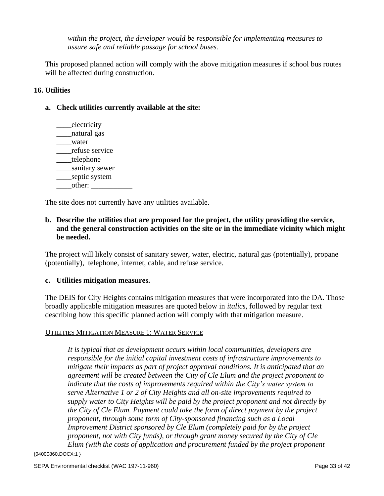*within the project, the developer would be responsible for implementing measures to assure safe and reliable passage for school buses.*

This proposed planned action will comply with the above mitigation measures if school bus routes will be affected during construction.

# **16. Utilities**

### **a. Check utilities currently available at the site:**

**\_\_\_\_**electricity \_\_\_\_natural gas \_\_\_\_water \_\_\_\_refuse service telephone \_\_\_\_sanitary sewer \_\_\_\_septic system \_\_\_\_other: \_\_\_\_\_\_\_\_\_\_\_

The site does not currently have any utilities available.

# **b. Describe the utilities that are proposed for the project, the utility providing the service, and the general construction activities on the site or in the immediate vicinity which might be needed.**

The project will likely consist of sanitary sewer, water, electric, natural gas (potentially), propane (potentially), telephone, internet, cable, and refuse service.

#### **c. Utilities mitigation measures.**

The DEIS for City Heights contains mitigation measures that were incorporated into the DA. Those broadly applicable mitigation measures are quoted below in *italics*, followed by regular text describing how this specific planned action will comply with that mitigation measure.

#### UTILITIES MITIGATION MEASURE 1: WATER SERVICE

*It is typical that as development occurs within local communities, developers are responsible for the initial capital investment costs of infrastructure improvements to mitigate their impacts as part of project approval conditions. It is anticipated that an agreement will be created between the City of Cle Elum and the project proponent to indicate that the costs of improvements required within the City's water system to serve Alternative 1 or 2 of City Heights and all on-site improvements required to supply water to City Heights will be paid by the project proponent and not directly by the City of Cle Elum. Payment could take the form of direct payment by the project proponent, through some form of City-sponsored financing such as a Local Improvement District sponsored by Cle Elum (completely paid for by the project proponent, not with City funds), or through grant money secured by the City of Cle Elum (with the costs of application and procurement funded by the project proponent*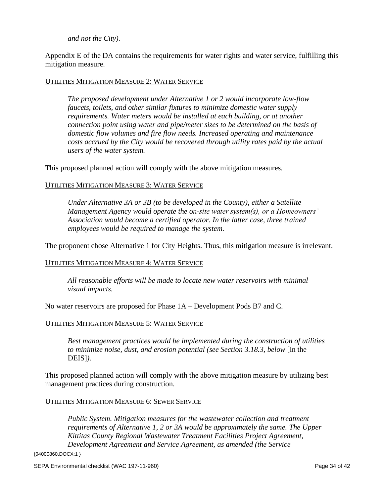### *and not the City).*

Appendix E of the DA contains the requirements for water rights and water service, fulfilling this mitigation measure.

#### UTILITIES MITIGATION MEASURE 2: WATER SERVICE

*The proposed development under Alternative 1 or 2 would incorporate low-flow faucets, toilets, and other similar fixtures to minimize domestic water supply requirements. Water meters would be installed at each building, or at another connection point using water and pipe/meter sizes to be determined on the basis of domestic flow volumes and fire flow needs. Increased operating and maintenance costs accrued by the City would be recovered through utility rates paid by the actual users of the water system.*

This proposed planned action will comply with the above mitigation measures.

### UTILITIES MITIGATION MEASURE 3: WATER SERVICE

*Under Alternative 3A or 3B (to be developed in the County), either a Satellite Management Agency would operate the on-site water system(s), or a Homeowners' Association would become a certified operator. In the latter case, three trained employees would be required to manage the system.*

The proponent chose Alternative 1 for City Heights. Thus, this mitigation measure is irrelevant.

### UTILITIES MITIGATION MEASURE 4: WATER SERVICE

*All reasonable efforts will be made to locate new water reservoirs with minimal visual impacts.*

No water reservoirs are proposed for Phase 1A – Development Pods B7 and C.

#### UTILITIES MITIGATION MEASURE 5: WATER SERVICE

*Best management practices would be implemented during the construction of utilities to minimize noise, dust, and erosion potential (see Section 3.18.3, below* [in the DEIS]*).*

This proposed planned action will comply with the above mitigation measure by utilizing best management practices during construction.

#### UTILITIES MITIGATION MEASURE 6: SEWER SERVICE

*Public System. Mitigation measures for the wastewater collection and treatment requirements of Alternative 1, 2 or 3A would be approximately the same. The Upper Kittitas County Regional Wastewater Treatment Facilities Project Agreement, Development Agreement and Service Agreement, as amended (the Service*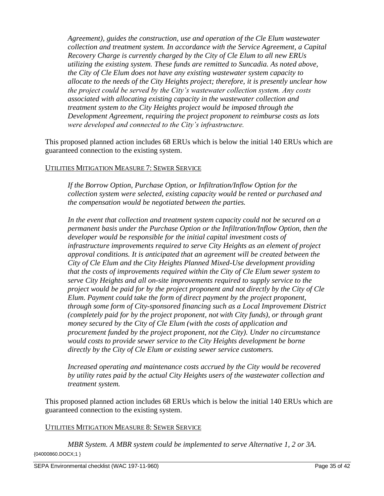*Agreement), guides the construction, use and operation of the Cle Elum wastewater collection and treatment system. In accordance with the Service Agreement, a Capital Recovery Charge is currently charged by the City of Cle Elum to all new ERUs utilizing the existing system. These funds are remitted to Suncadia. As noted above, the City of Cle Elum does not have any existing wastewater system capacity to allocate to the needs of the City Heights project; therefore, it is presently unclear how the project could be served by the City's wastewater collection system. Any costs associated with allocating existing capacity in the wastewater collection and treatment system to the City Heights project would be imposed through the Development Agreement, requiring the project proponent to reimburse costs as lots were developed and connected to the City's infrastructure.*

This proposed planned action includes 68 ERUs which is below the initial 140 ERUs which are guaranteed connection to the existing system.

### UTILITIES MITIGATION MEASURE 7: SEWER SERVICE

*If the Borrow Option, Purchase Option, or Infiltration/Inflow Option for the collection system were selected, existing capacity would be rented or purchased and the compensation would be negotiated between the parties.*

In the event that collection and treatment system capacity could not be secured on a *permanent basis under the Purchase Option or the Infiltration/Inflow Option, then the developer would be responsible for the initial capital investment costs of infrastructure improvements required to serve City Heights as an element of project approval conditions. It is anticipated that an agreement will be created between the City of Cle Elum and the City Heights Planned Mixed-Use development providing that the costs of improvements required within the City of Cle Elum sewer system to serve City Heights and all on-site improvements required to supply service to the project would be paid for by the project proponent and not directly by the City of Cle Elum. Payment could take the form of direct payment by the project proponent, through some form of City-sponsored financing such as a Local Improvement District (completely paid for by the project proponent, not with City funds), or through grant money secured by the City of Cle Elum (with the costs of application and procurement funded by the project proponent, not the City). Under no circumstance would costs to provide sewer service to the City Heights development be borne directly by the City of Cle Elum or existing sewer service customers.*

*Increased operating and maintenance costs accrued by the City would be recovered by utility rates paid by the actual City Heights users of the wastewater collection and treatment system.*

This proposed planned action includes 68 ERUs which is below the initial 140 ERUs which are guaranteed connection to the existing system.

### UTILITIES MITIGATION MEASURE 8: SEWER SERVICE

{04000860.DOCX;1 } *MBR System. A MBR system could be implemented to serve Alternative 1, 2 or 3A.*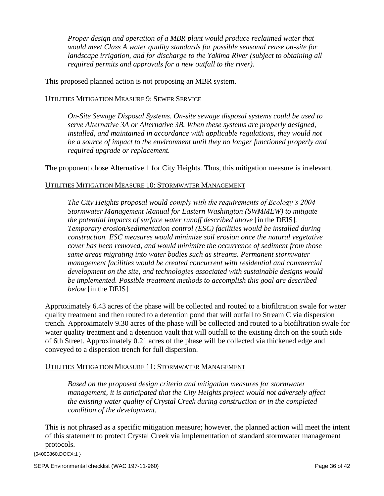*Proper design and operation of a MBR plant would produce reclaimed water that would meet Class A water quality standards for possible seasonal reuse on-site for landscape irrigation, and for discharge to the Yakima River (subject to obtaining all required permits and approvals for a new outfall to the river).*

This proposed planned action is not proposing an MBR system.

## UTILITIES MITIGATION MEASURE 9: SEWER SERVICE

*On-Site Sewage Disposal Systems. On-site sewage disposal systems could be used to serve Alternative 3A or Alternative 3B. When these systems are properly designed,*  installed, and maintained in accordance with applicable regulations, they would not *be a source of impact to the environment until they no longer functioned properly and required upgrade or replacement.*

The proponent chose Alternative 1 for City Heights. Thus, this mitigation measure is irrelevant.

## UTILITIES MITIGATION MEASURE 10: STORMWATER MANAGEMENT

*The City Heights proposal would comply with the requirements of Ecology's 2004 Stormwater Management Manual for Eastern Washington (SWMMEW) to mitigate the potential impacts of surface water runoff described above* [in the DEIS]*. Temporary erosion/sedimentation control (ESC) facilities would be installed during construction. ESC measures would minimize soil erosion once the natural vegetative cover has been removed, and would minimize the occurrence of sediment from those same areas migrating into water bodies such as streams. Permanent stormwater management facilities would be created concurrent with residential and commercial development on the site, and technologies associated with sustainable designs would be implemented. Possible treatment methods to accomplish this goal are described below* [in the DEIS]*.*

Approximately 6.43 acres of the phase will be collected and routed to a biofiltration swale for water quality treatment and then routed to a detention pond that will outfall to Stream C via dispersion trench. Approximately 9.30 acres of the phase will be collected and routed to a biofiltration swale for water quality treatment and a detention vault that will outfall to the existing ditch on the south side of 6th Street. Approximately 0.21 acres of the phase will be collected via thickened edge and conveyed to a dispersion trench for full dispersion.

### UTILITIES MITIGATION MEASURE 11: STORMWATER MANAGEMENT

*Based on the proposed design criteria and mitigation measures for stormwater management, it is anticipated that the City Heights project would not adversely affect the existing water quality of Crystal Creek during construction or in the completed condition of the development.*

This is not phrased as a specific mitigation measure; however, the planned action will meet the intent of this statement to protect Crystal Creek via implementation of standard stormwater management protocols.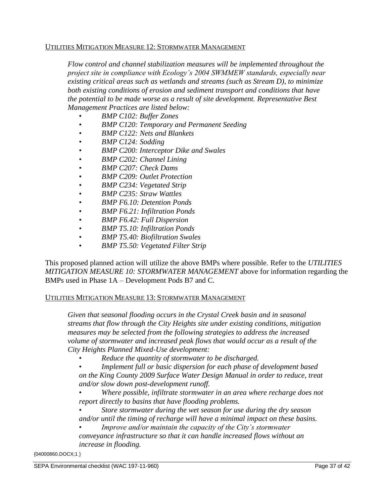#### UTILITIES MITIGATION MEASURE 12: STORMWATER MANAGEMENT

*Flow control and channel stabilization measures will be implemented throughout the project site in compliance with Ecology's 2004 SWMMEW standards, especially near existing critical areas such as wetlands and streams (such as Stream D), to minimize both existing conditions of erosion and sediment transport and conditions that have the potential to be made worse as a result of site development. Representative Best Management Practices are listed below:* 

- *BMP C102: Buffer Zones*
- *BMP C120: Temporary and Permanent Seeding*
- *BMP C122: Nets and Blankets*
- *BMP C124: Sodding*
- *BMP C200: Interceptor Dike and Swales*
- *BMP C202: Channel Lining*
- *BMP C207: Check Dams*
- *BMP C209: Outlet Protection*
- *BMP C234: Vegetated Strip*
- *BMP C235: Straw Wattles*
- *BMP F6.10: Detention Ponds*
- *BMP F6.21: Infiltration Ponds*
- *BMP F6.42: Full Dispersion*
- *BMP T5.10: Infiltration Ponds*
- *BMP T5.40: Biofiltration Swales*
- *BMP T5.50: Vegetated Filter Strip*

This proposed planned action will utilize the above BMPs where possible. Refer to the *UTILITIES MITIGATION MEASURE 10: STORMWATER MANAGEMENT* above for information regarding the BMPs used in Phase 1A – Development Pods B7 and C.

### UTILITIES MITIGATION MEASURE 13: STORMWATER MANAGEMENT

*Given that seasonal flooding occurs in the Crystal Creek basin and in seasonal streams that flow through the City Heights site under existing conditions, mitigation measures may be selected from the following strategies to address the increased volume of stormwater and increased peak flows that would occur as a result of the City Heights Planned Mixed-Use development:* 

• *Reduce the quantity of stormwater to be discharged.* 

• *Implement full or basic dispersion for each phase of development based on the King County 2009 Surface Water Design Manual in order to reduce, treat and/or slow down post-development runoff.* 

• *Where possible, infiltrate stormwater in an area where recharge does not report directly to basins that have flooding problems.* 

• *Store stormwater during the wet season for use during the dry season and/or until the timing of recharge will have a minimal impact on these basins.* 

• *Improve and/or maintain the capacity of the City's stormwater conveyance infrastructure so that it can handle increased flows without an increase in flooding.*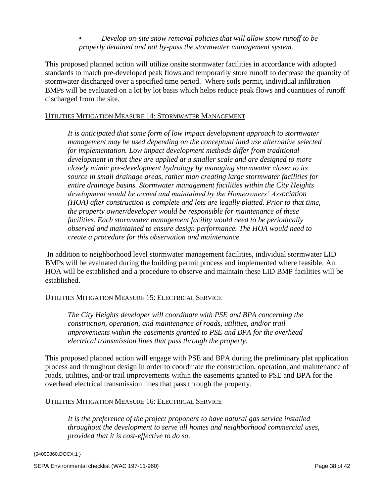• *Develop on-site snow removal policies that will allow snow runoff to be properly detained and not by-pass the stormwater management system.* 

This proposed planned action will utilize onsite stormwater facilities in accordance with adopted standards to match pre-developed peak flows and temporarily store runoff to decrease the quantity of stormwater discharged over a specified time period. Where soils permit, individual infiltration BMPs will be evaluated on a lot by lot basis which helps reduce peak flows and quantities of runoff discharged from the site.

# UTILITIES MITIGATION MEASURE 14: STORMWATER MANAGEMENT

*It is anticipated that some form of low impact development approach to stormwater management may be used depending on the conceptual land use alternative selected for implementation. Low impact development methods differ from traditional development in that they are applied at a smaller scale and are designed to more closely mimic pre-development hydrology by managing stormwater closer to its source in small drainage areas, rather than creating large stormwater facilities for entire drainage basins. Stormwater management facilities within the City Heights development would be owned and maintained by the Homeowners' Association (HOA) after construction is complete and lots are legally platted. Prior to that time, the property owner/developer would be responsible for maintenance of these facilities. Each stormwater management facility would need to be periodically observed and maintained to ensure design performance. The HOA would need to create a procedure for this observation and maintenance.*

In addition to neighborhood level stormwater management facilities, individual stormwater LID BMPs will be evaluated during the building permit process and implemented where feasible. An HOA will be established and a procedure to observe and maintain these LID BMP facilities will be established.

### UTILITIES MITIGATION MEASURE 15: ELECTRICAL SERVICE

*The City Heights developer will coordinate with PSE and BPA concerning the construction, operation, and maintenance of roads, utilities, and/or trail improvements within the easements granted to PSE and BPA for the overhead electrical transmission lines that pass through the property.*

This proposed planned action will engage with PSE and BPA during the preliminary plat application process and throughout design in order to coordinate the construction, operation, and maintenance of roads, utilities, and/or trail improvements within the easements granted to PSE and BPA for the overhead electrical transmission lines that pass through the property.

### UTILITIES MITIGATION MEASURE 16: ELECTRICAL SERVICE

*It is the preference of the project proponent to have natural gas service installed throughout the development to serve all homes and neighborhood commercial uses, provided that it is cost-effective to do so.*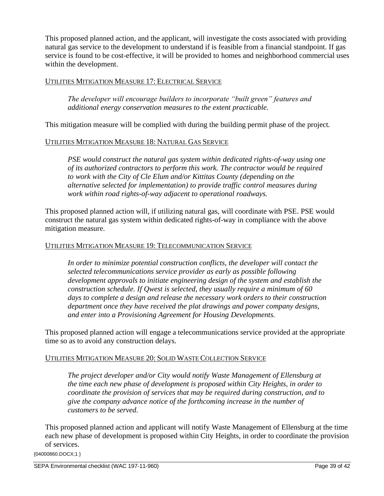This proposed planned action, and the applicant, will investigate the costs associated with providing natural gas service to the development to understand if is feasible from a financial standpoint. If gas service is found to be cost-effective, it will be provided to homes and neighborhood commercial uses within the development.

## UTILITIES MITIGATION MEASURE 17: ELECTRICAL SERVICE

*The developer will encourage builders to incorporate "built green" features and additional energy conservation measures to the extent practicable.*

This mitigation measure will be complied with during the building permit phase of the project.

## UTILITIES MITIGATION MEASURE 18: NATURAL GAS SERVICE

*PSE would construct the natural gas system within dedicated rights-of-way using one of its authorized contractors to perform this work. The contractor would be required to work with the City of Cle Elum and/or Kittitas County (depending on the alternative selected for implementation) to provide traffic control measures during work within road rights-of-way adjacent to operational roadways.*

This proposed planned action will, if utilizing natural gas, will coordinate with PSE. PSE would construct the natural gas system within dedicated rights-of-way in compliance with the above mitigation measure.

#### UTILITIES MITIGATION MEASURE 19: TELECOMMUNICATION SERVICE

In order to minimize potential construction conflicts, the developer will contact the *selected telecommunications service provider as early as possible following development approvals to initiate engineering design of the system and establish the construction schedule. If Qwest is selected, they usually require a minimum of 60*  days to complete a design and release the necessary work orders to their construction *department once they have received the plat drawings and power company designs, and enter into a Provisioning Agreement for Housing Developments.*

This proposed planned action will engage a telecommunications service provided at the appropriate time so as to avoid any construction delays.

### UTILITIES MITIGATION MEASURE 20: SOLID WASTE COLLECTION SERVICE

*The project developer and/or City would notify Waste Management of Ellensburg at the time each new phase of development is proposed within City Heights, in order to coordinate the provision of services that may be required during construction, and to give the company advance notice of the forthcoming increase in the number of customers to be served.*

This proposed planned action and applicant will notify Waste Management of Ellensburg at the time each new phase of development is proposed within City Heights, in order to coordinate the provision of services.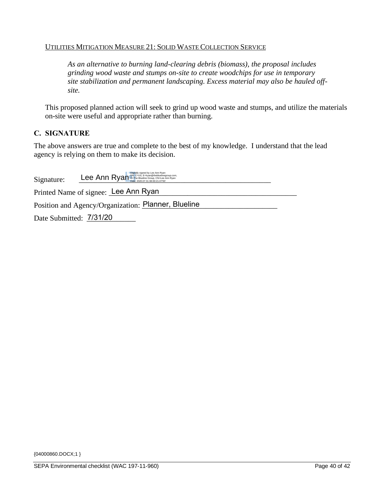### UTILITIES MITIGATION MEASURE 21: SOLID WASTE COLLECTION SERVICE

*As an alternative to burning land-clearing debris (biomass), the proposal includes grinding wood waste and stumps on-site to create woodchips for use in temporary site stabilization and permanent landscaping. Excess material may also be hauled offsite.*

This proposed planned action will seek to grind up wood waste and stumps, and utilize the materials on-site were useful and appropriate rather than burning.

## **C. SIGNATURE**

The above answers are true and complete to the best of my knowledge. I understand that the lead agency is relying on them to make its decision.

| Signature:              | Digitally signed by Lee Ann Ryan British Call S. E-liven@thebluelinegroup.com,<br>Date: 2020.07.31 08:00:21-07'00' |  |
|-------------------------|--------------------------------------------------------------------------------------------------------------------|--|
|                         | Printed Name of signee: Lee Ann Ryan                                                                               |  |
|                         | Position and Agency/Organization: Planner, Blueline                                                                |  |
| Date Submitted: 7/31/20 |                                                                                                                    |  |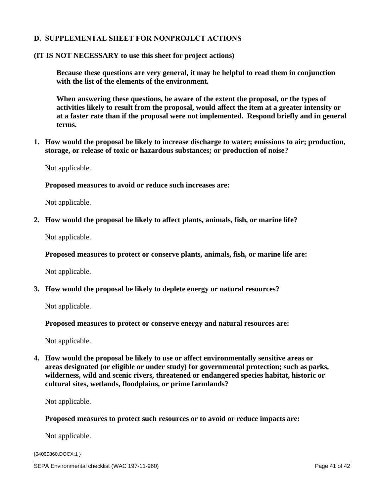# **D. SUPPLEMENTAL SHEET FOR NONPROJECT ACTIONS**

#### **(IT IS NOT NECESSARY to use this sheet for project actions)**

**Because these questions are very general, it may be helpful to read them in conjunction with the list of the elements of the environment.**

**When answering these questions, be aware of the extent the proposal, or the types of activities likely to result from the proposal, would affect the item at a greater intensity or at a faster rate than if the proposal were not implemented. Respond briefly and in general terms.**

**1. How would the proposal be likely to increase discharge to water; emissions to air; production, storage, or release of toxic or hazardous substances; or production of noise?**

Not applicable.

**Proposed measures to avoid or reduce such increases are:**

Not applicable.

**2. How would the proposal be likely to affect plants, animals, fish, or marine life?**

Not applicable.

**Proposed measures to protect or conserve plants, animals, fish, or marine life are:**

Not applicable.

**3. How would the proposal be likely to deplete energy or natural resources?**

Not applicable.

**Proposed measures to protect or conserve energy and natural resources are:**

Not applicable.

**4. How would the proposal be likely to use or affect environmentally sensitive areas or areas designated (or eligible or under study) for governmental protection; such as parks, wilderness, wild and scenic rivers, threatened or endangered species habitat, historic or cultural sites, wetlands, floodplains, or prime farmlands?**

Not applicable.

**Proposed measures to protect such resources or to avoid or reduce impacts are:**

Not applicable.